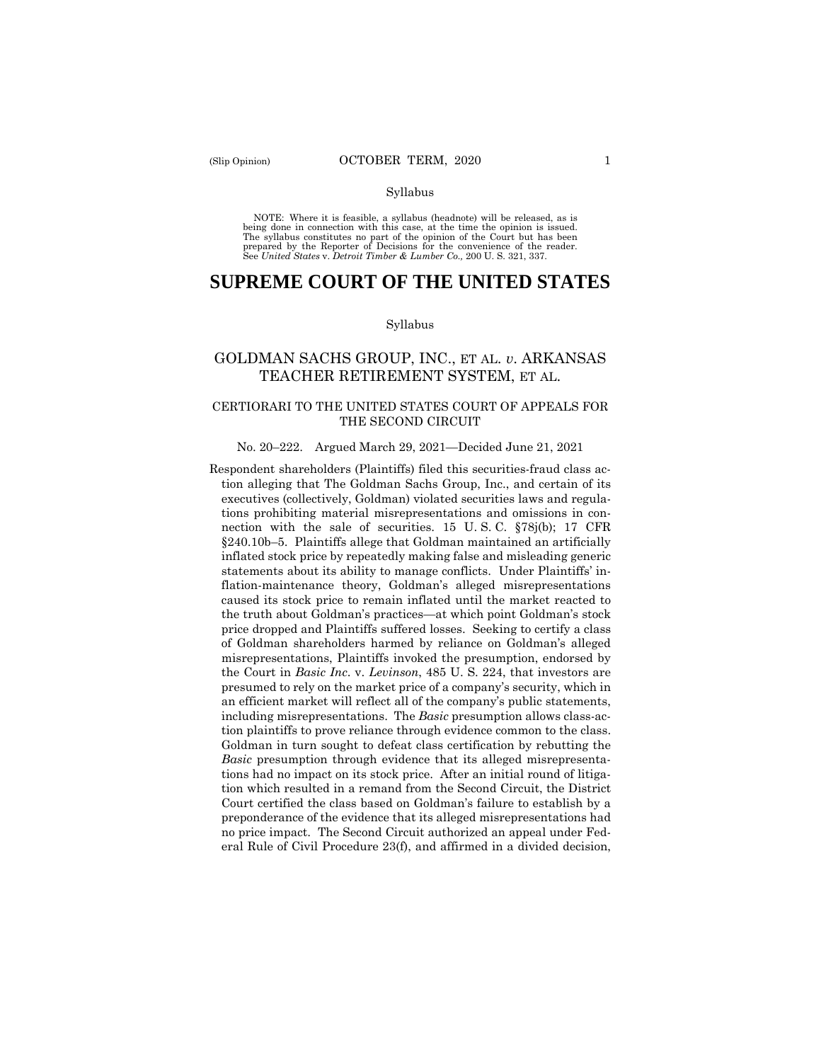#### Syllabus

 NOTE: Where it is feasible, a syllabus (headnote) will be released, as is being done in connection with this case, at the time the opinion is issued. The syllabus constitutes no part of the opinion of the Court but has been<br>prepared by the Reporter of Decisions for the convenience of the reader.<br>See United States v. Detroit Timber & Lumber Co., 200 U.S. 321, 337.

# **SUPREME COURT OF THE UNITED STATES**

#### Syllabus

# GOLDMAN SACHS GROUP, INC., ET AL. *v*. ARKANSAS TEACHER RETIREMENT SYSTEM, ET AL.

## CERTIORARI TO THE UNITED STATES COURT OF APPEALS FOR THE SECOND CIRCUIT

#### No. 20–222. Argued March 29, 2021—Decided June 21, 2021

 nection with the sale of securities. 15 U. S. C. §78j(b); 17 CFR Goldman in turn sought to defeat class certification by rebutting the Respondent shareholders (Plaintiffs) filed this securities-fraud class action alleging that The Goldman Sachs Group, Inc., and certain of its executives (collectively, Goldman) violated securities laws and regulations prohibiting material misrepresentations and omissions in con-§240.10b–5. Plaintiffs allege that Goldman maintained an artificially inflated stock price by repeatedly making false and misleading generic statements about its ability to manage conflicts. Under Plaintiffs' inflation-maintenance theory, Goldman's alleged misrepresentations caused its stock price to remain inflated until the market reacted to the truth about Goldman's practices—at which point Goldman's stock price dropped and Plaintiffs suffered losses. Seeking to certify a class of Goldman shareholders harmed by reliance on Goldman's alleged misrepresentations, Plaintiffs invoked the presumption, endorsed by the Court in *Basic Inc*. v. *Levinson*, 485 U. S. 224, that investors are presumed to rely on the market price of a company's security, which in an efficient market will reflect all of the company's public statements, including misrepresentations. The *Basic* presumption allows class-action plaintiffs to prove reliance through evidence common to the class. *Basic* presumption through evidence that its alleged misrepresentations had no impact on its stock price. After an initial round of litigation which resulted in a remand from the Second Circuit, the District Court certified the class based on Goldman's failure to establish by a preponderance of the evidence that its alleged misrepresentations had no price impact. The Second Circuit authorized an appeal under Federal Rule of Civil Procedure 23(f), and affirmed in a divided decision,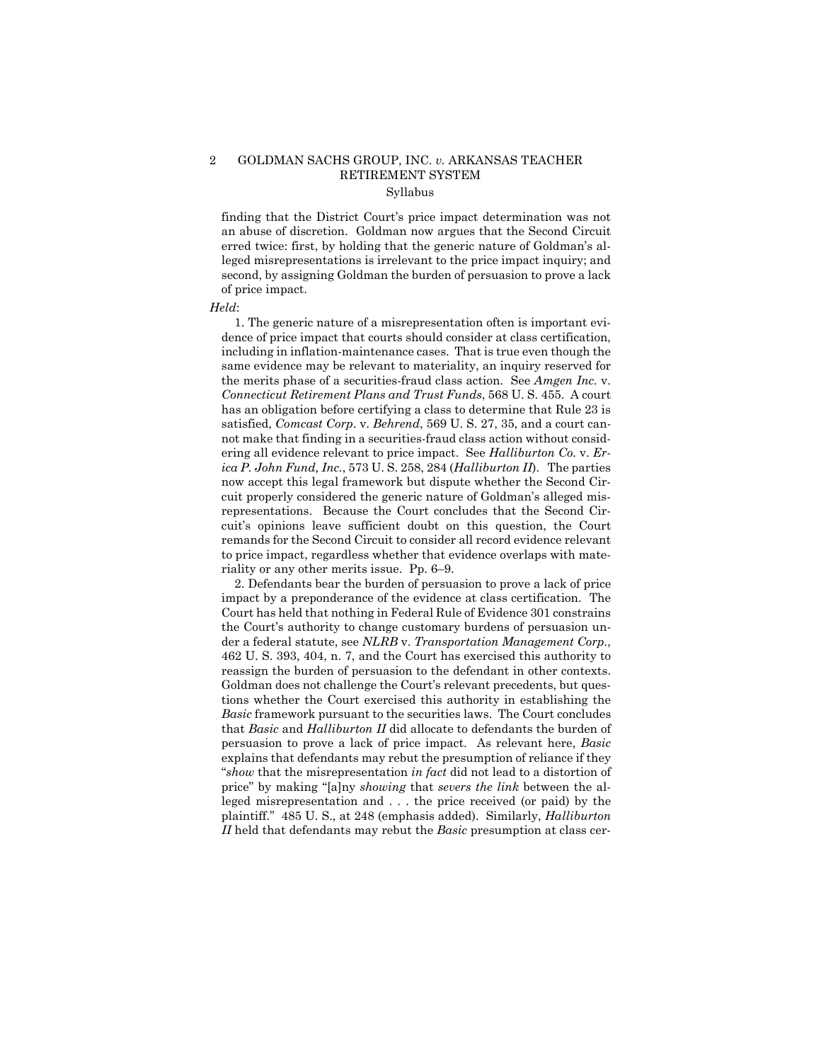## 2 GOLDMAN SACHS GROUP, INC. *v.* ARKANSAS TEACHER RETIREMENT SYSTEM Syllabus

finding that the District Court's price impact determination was not an abuse of discretion. Goldman now argues that the Second Circuit erred twice: first, by holding that the generic nature of Goldman's alleged misrepresentations is irrelevant to the price impact inquiry; and second, by assigning Goldman the burden of persuasion to prove a lack of price impact.

#### *Held*:

1. The generic nature of a misrepresentation often is important evidence of price impact that courts should consider at class certification, including in inflation-maintenance cases. That is true even though the same evidence may be relevant to materiality, an inquiry reserved for the merits phase of a securities-fraud class action. See *Amgen Inc.* v. *Connecticut Retirement Plans and Trust Funds*, 568 U. S. 455. A court has an obligation before certifying a class to determine that Rule 23 is satisfied, *Comcast Corp*. v. *Behrend*, 569 U. S. 27, 35, and a court cannot make that finding in a securities-fraud class action without considering all evidence relevant to price impact. See *Halliburton Co.* v. *Erica P. John Fund, Inc.*, 573 U. S. 258, 284 (*Halliburton II*). The parties now accept this legal framework but dispute whether the Second Circuit properly considered the generic nature of Goldman's alleged misrepresentations. Because the Court concludes that the Second Circuit's opinions leave sufficient doubt on this question, the Court remands for the Second Circuit to consider all record evidence relevant to price impact, regardless whether that evidence overlaps with materiality or any other merits issue. Pp. 6–9.

2. Defendants bear the burden of persuasion to prove a lack of price impact by a preponderance of the evidence at class certification. The Court has held that nothing in Federal Rule of Evidence 301 constrains the Court's authority to change customary burdens of persuasion under a federal statute, see *NLRB* v. *Transportation Management Corp.*, 462 U. S. 393, 404, n. 7, and the Court has exercised this authority to reassign the burden of persuasion to the defendant in other contexts. Goldman does not challenge the Court's relevant precedents, but questions whether the Court exercised this authority in establishing the *Basic* framework pursuant to the securities laws. The Court concludes that *Basic* and *Halliburton II* did allocate to defendants the burden of persuasion to prove a lack of price impact. As relevant here, *Basic*  explains that defendants may rebut the presumption of reliance if they "*show* that the misrepresentation *in fact* did not lead to a distortion of price" by making "[a]ny *showing* that *severs the link* between the alleged misrepresentation and . . . the price received (or paid) by the plaintiff." 485 U. S., at 248 (emphasis added). Similarly, *Halliburton II* held that defendants may rebut the *Basic* presumption at class cer-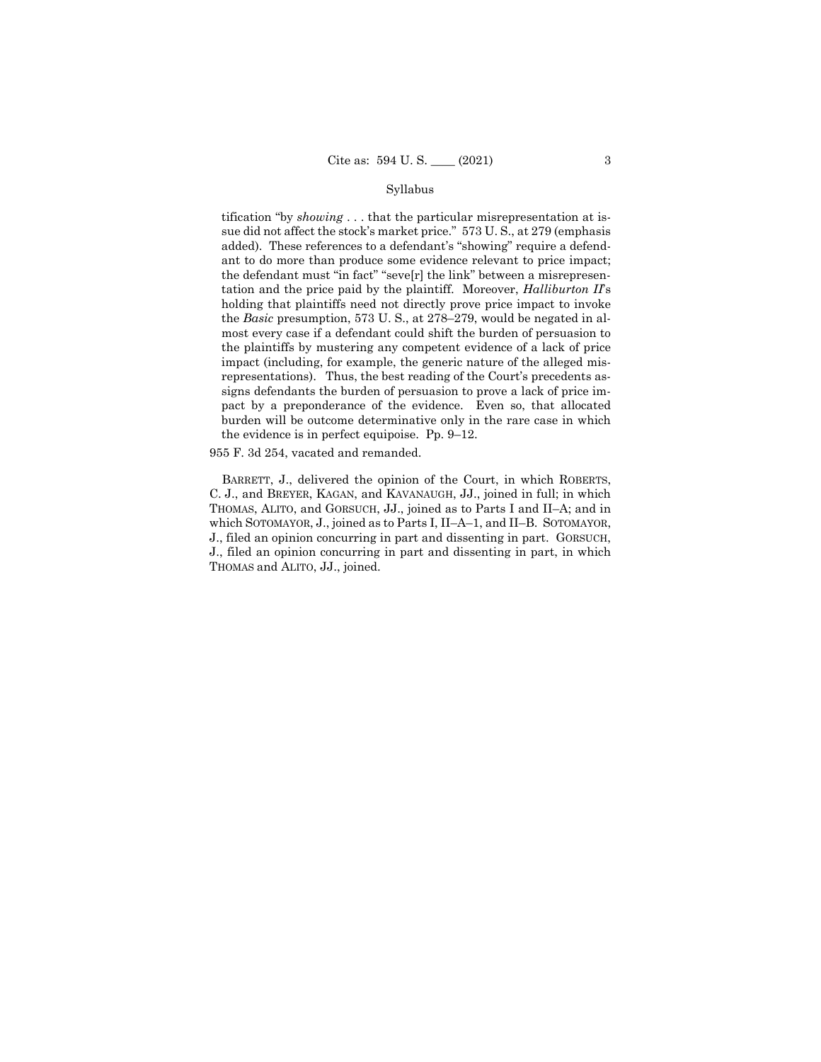#### Syllabus

tification "by *showing* . . . that the particular misrepresentation at issue did not affect the stock's market price." 573 U. S., at 279 (emphasis added). These references to a defendant's "showing" require a defendant to do more than produce some evidence relevant to price impact; the defendant must "in fact" "seve[r] the link" between a misrepresentation and the price paid by the plaintiff. Moreover, *Halliburton II*'s holding that plaintiffs need not directly prove price impact to invoke the *Basic* presumption, 573 U. S., at 278–279, would be negated in almost every case if a defendant could shift the burden of persuasion to the plaintiffs by mustering any competent evidence of a lack of price impact (including, for example, the generic nature of the alleged misrepresentations). Thus, the best reading of the Court's precedents assigns defendants the burden of persuasion to prove a lack of price impact by a preponderance of the evidence. Even so, that allocated burden will be outcome determinative only in the rare case in which the evidence is in perfect equipoise. Pp. 9–12.

955 F. 3d 254, vacated and remanded.

BARRETT, J., delivered the opinion of the Court, in which ROBERTS, C. J., and BREYER, KAGAN, and KAVANAUGH, JJ., joined in full; in which THOMAS, ALITO, and GORSUCH, JJ., joined as to Parts I and II–A; and in which SOTOMAYOR, J., joined as to Parts I, II–A–1, and II–B. SOTOMAYOR, J., filed an opinion concurring in part and dissenting in part. GORSUCH, J., filed an opinion concurring in part and dissenting in part, in which THOMAS and ALITO, JJ., joined.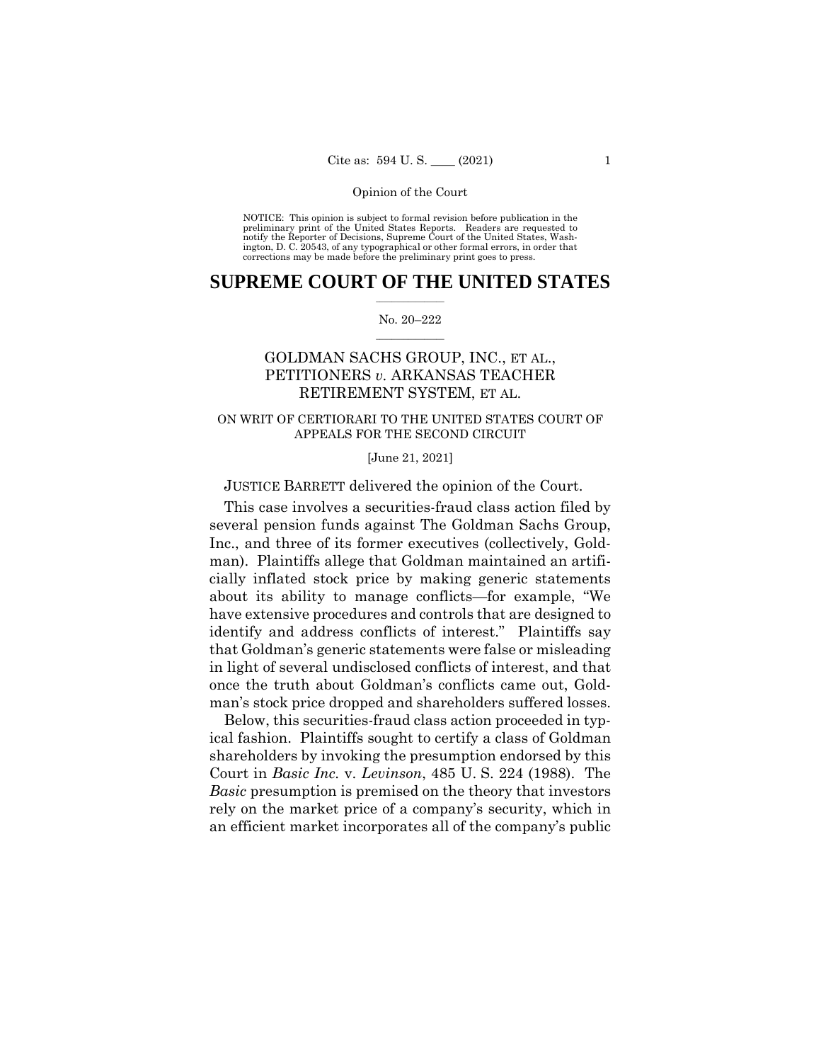NOTICE: This opinion is subject to formal revision before publication in the preliminary print of the United States Reports. Readers are requested to notify the Reporter of Decisions, Supreme Court of the United States, Wash-ington, D. C. 20543, of any typographical or other formal errors, in order that corrections may be made before the preliminary print goes to press.

## $\frac{1}{2}$  , where  $\frac{1}{2}$ **SUPREME COURT OF THE UNITED STATES**

#### $\frac{1}{2}$  ,  $\frac{1}{2}$  ,  $\frac{1}{2}$  ,  $\frac{1}{2}$  ,  $\frac{1}{2}$  ,  $\frac{1}{2}$ No. 20–222

# GOLDMAN SACHS GROUP, INC., ET AL., PETITIONERS *v.* ARKANSAS TEACHER RETIREMENT SYSTEM, ET AL.

## ON WRIT OF CERTIORARI TO THE UNITED STATES COURT OF APPEALS FOR THE SECOND CIRCUIT

[June 21, 2021]

JUSTICE BARRETT delivered the opinion of the Court.

This case involves a securities-fraud class action filed by several pension funds against The Goldman Sachs Group, Inc., and three of its former executives (collectively, Goldman). Plaintiffs allege that Goldman maintained an artificially inflated stock price by making generic statements about its ability to manage conflicts—for example, "We have extensive procedures and controls that are designed to identify and address conflicts of interest." Plaintiffs say that Goldman's generic statements were false or misleading in light of several undisclosed conflicts of interest, and that once the truth about Goldman's conflicts came out, Goldman's stock price dropped and shareholders suffered losses.

Below, this securities-fraud class action proceeded in typical fashion. Plaintiffs sought to certify a class of Goldman shareholders by invoking the presumption endorsed by this Court in *Basic Inc.* v. *Levinson*, 485 U. S. 224 (1988). The *Basic* presumption is premised on the theory that investors rely on the market price of a company's security, which in an efficient market incorporates all of the company's public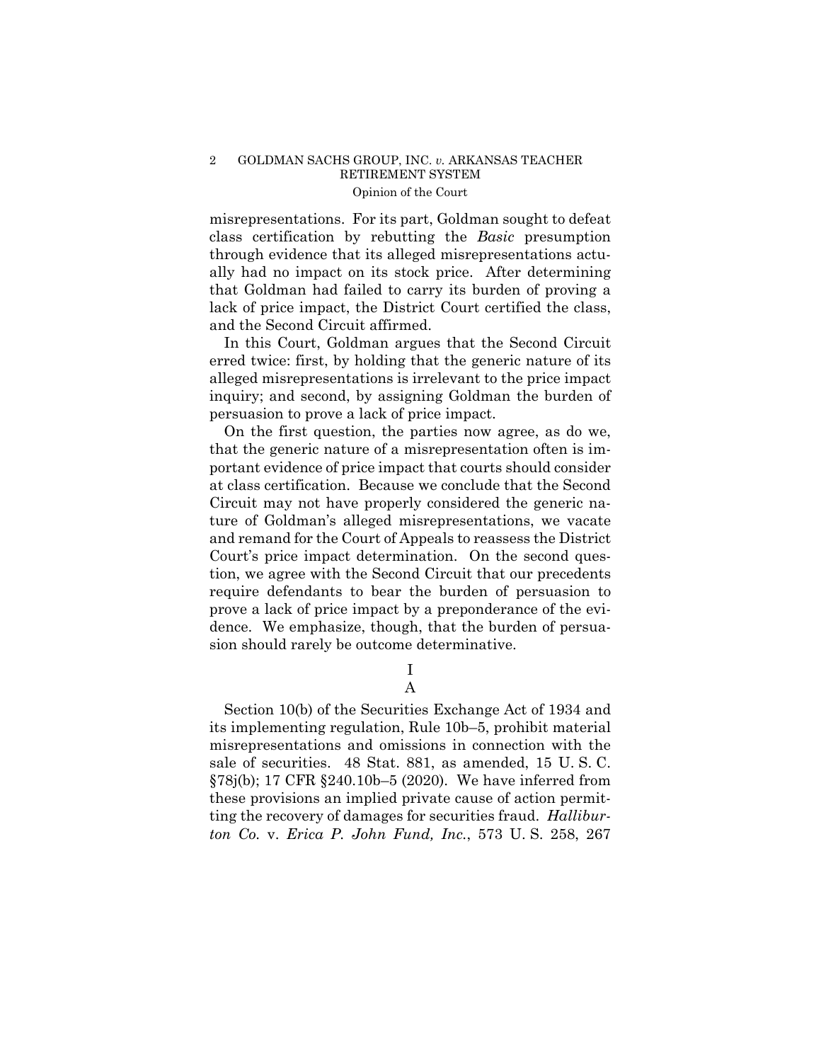misrepresentations. For its part, Goldman sought to defeat class certification by rebutting the *Basic* presumption through evidence that its alleged misrepresentations actually had no impact on its stock price. After determining that Goldman had failed to carry its burden of proving a lack of price impact, the District Court certified the class, and the Second Circuit affirmed.

In this Court, Goldman argues that the Second Circuit erred twice: first, by holding that the generic nature of its alleged misrepresentations is irrelevant to the price impact inquiry; and second, by assigning Goldman the burden of persuasion to prove a lack of price impact.

On the first question, the parties now agree, as do we, that the generic nature of a misrepresentation often is important evidence of price impact that courts should consider at class certification. Because we conclude that the Second Circuit may not have properly considered the generic nature of Goldman's alleged misrepresentations, we vacate and remand for the Court of Appeals to reassess the District Court's price impact determination. On the second question, we agree with the Second Circuit that our precedents require defendants to bear the burden of persuasion to prove a lack of price impact by a preponderance of the evidence. We emphasize, though, that the burden of persuasion should rarely be outcome determinative.

> I A

Section 10(b) of the Securities Exchange Act of 1934 and its implementing regulation, Rule 10b–5, prohibit material misrepresentations and omissions in connection with the sale of securities. 48 Stat. 881, as amended, 15 U. S. C. §78j(b); 17 CFR §240.10b–5 (2020). We have inferred from these provisions an implied private cause of action permitting the recovery of damages for securities fraud. *Halliburton Co.* v. *Erica P. John Fund, Inc.*, 573 U. S. 258, 267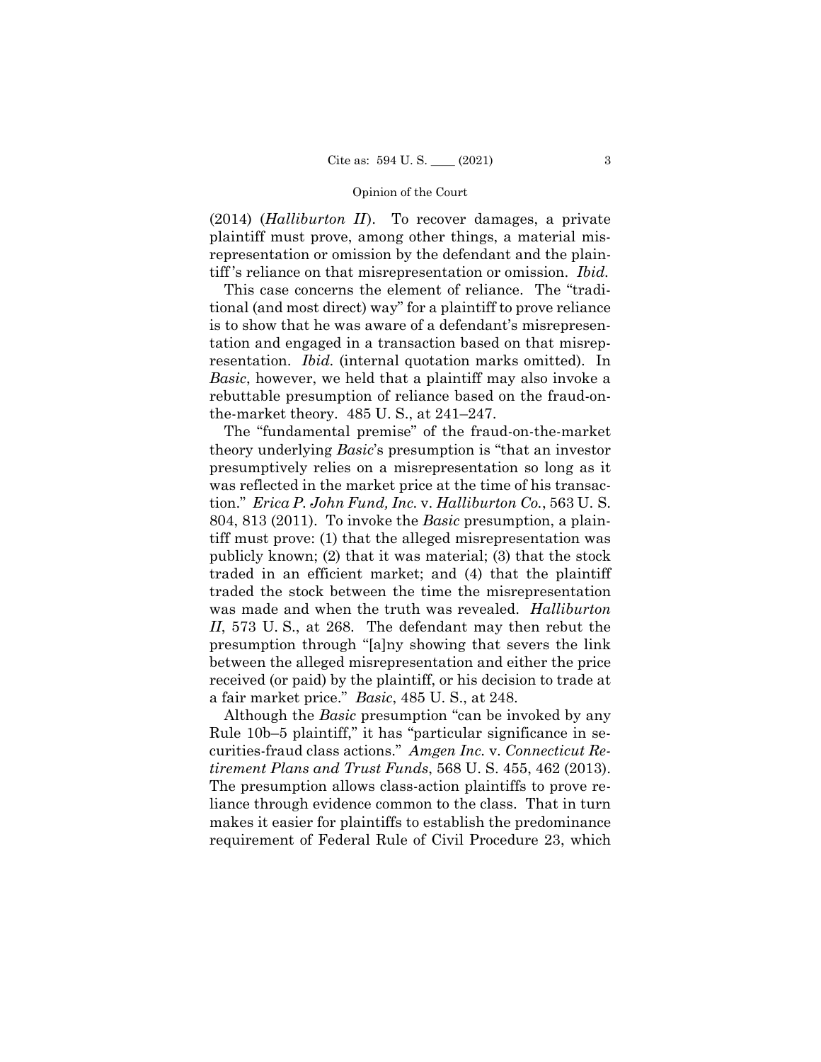(2014) (*Halliburton II*). To recover damages, a private plaintiff must prove, among other things, a material misrepresentation or omission by the defendant and the plaintiff 's reliance on that misrepresentation or omission. *Ibid.* 

 resentation. *Ibid.* (internal quotation marks omitted). In This case concerns the element of reliance. The "traditional (and most direct) way" for a plaintiff to prove reliance is to show that he was aware of a defendant's misrepresentation and engaged in a transaction based on that misrep-*Basic*, however, we held that a plaintiff may also invoke a rebuttable presumption of reliance based on the fraud-onthe-market theory. 485 U. S., at 241–247.

The "fundamental premise" of the fraud-on-the-market theory underlying *Basic*'s presumption is "that an investor presumptively relies on a misrepresentation so long as it was reflected in the market price at the time of his transaction." *Erica P. John Fund, Inc.* v. *Halliburton Co.*, 563 U. S. 804, 813 (2011). To invoke the *Basic* presumption, a plaintiff must prove: (1) that the alleged misrepresentation was publicly known; (2) that it was material; (3) that the stock traded in an efficient market; and (4) that the plaintiff traded the stock between the time the misrepresentation was made and when the truth was revealed. *Halliburton II*, 573 U. S., at 268. The defendant may then rebut the presumption through "[a]ny showing that severs the link between the alleged misrepresentation and either the price received (or paid) by the plaintiff, or his decision to trade at a fair market price." *Basic*, 485 U. S., at 248.

 Although the *Basic* presumption "can be invoked by any Rule 10b–5 plaintiff," it has "particular significance in securities-fraud class actions." *Amgen Inc.* v. *Connecticut Retirement Plans and Trust Funds*, 568 U. S. 455, 462 (2013). The presumption allows class-action plaintiffs to prove reliance through evidence common to the class. That in turn makes it easier for plaintiffs to establish the predominance requirement of Federal Rule of Civil Procedure 23, which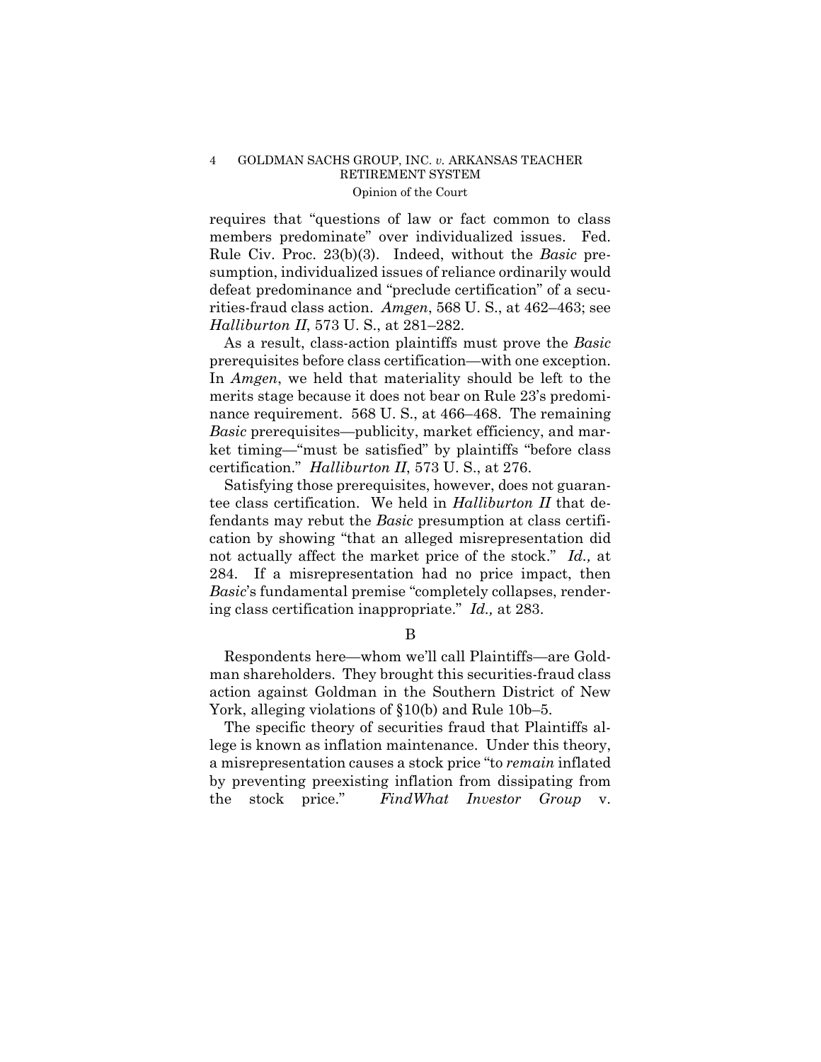requires that "questions of law or fact common to class members predominate" over individualized issues. Fed. Rule Civ. Proc. 23(b)(3). Indeed, without the *Basic* presumption, individualized issues of reliance ordinarily would defeat predominance and "preclude certification" of a securities-fraud class action. *Amgen*, 568 U. S., at 462–463; see *Halliburton II*, 573 U. S., at 281–282.

As a result, class-action plaintiffs must prove the *Basic*  prerequisites before class certification—with one exception. In *Amgen*, we held that materiality should be left to the merits stage because it does not bear on Rule 23's predominance requirement. 568 U.S., at 466–468. The remaining *Basic* prerequisites—publicity, market efficiency, and market timing—"must be satisfied" by plaintiffs "before class certification." *Halliburton II*, 573 U. S., at 276.

Satisfying those prerequisites, however, does not guarantee class certification. We held in *Halliburton II* that defendants may rebut the *Basic* presumption at class certification by showing "that an alleged misrepresentation did not actually affect the market price of the stock." *Id.,* at 284. If a misrepresentation had no price impact, then *Basic*'s fundamental premise "completely collapses, rendering class certification inappropriate." *Id.,* at 283.

B

Respondents here—whom we'll call Plaintiffs—are Goldman shareholders. They brought this securities-fraud class action against Goldman in the Southern District of New York, alleging violations of §10(b) and Rule 10b–5.

The specific theory of securities fraud that Plaintiffs allege is known as inflation maintenance. Under this theory, a misrepresentation causes a stock price "to *remain* inflated by preventing preexisting inflation from dissipating from the stock price." *FindWhat Investor Group* v.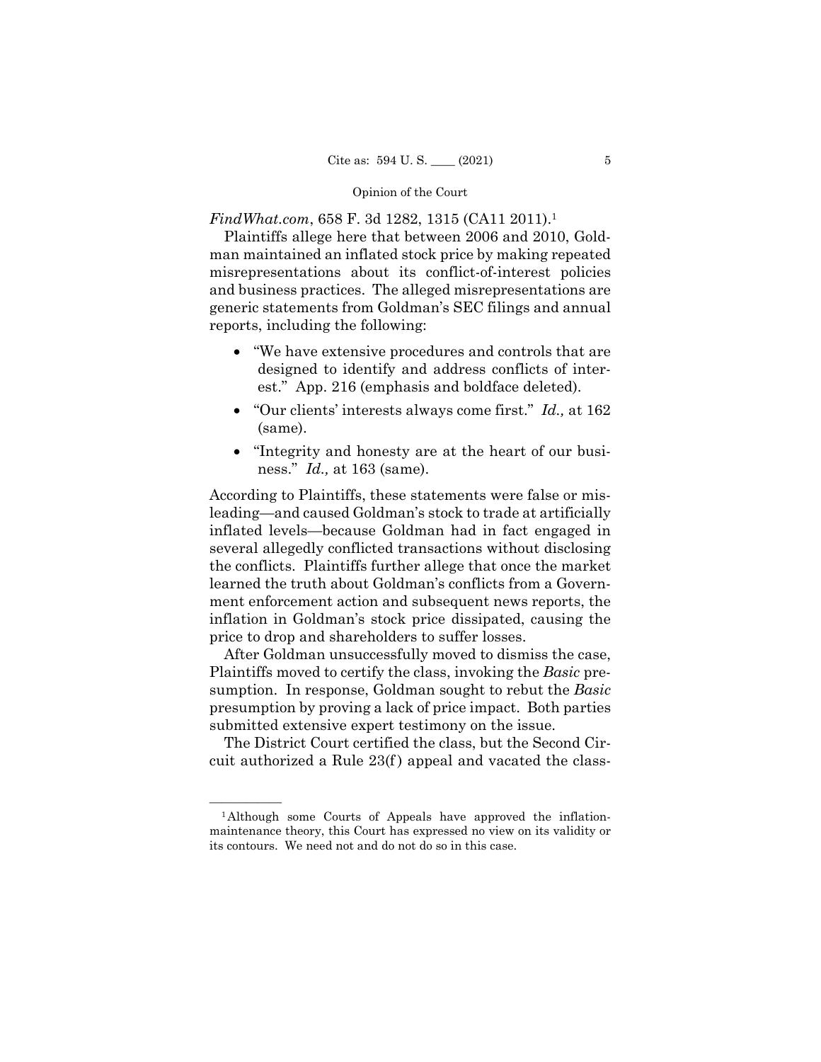*FindWhat.com*, 658 F. 3d 1282, 1315 (CA11 2011).<sup>1</sup>

Plaintiffs allege here that between 2006 and 2010, Goldman maintained an inflated stock price by making repeated misrepresentations about its conflict-of-interest policies and business practices. The alleged misrepresentations are generic statements from Goldman's SEC filings and annual reports, including the following:

- "We have extensive procedures and controls that are designed to identify and address conflicts of interest." App. 216 (emphasis and boldface deleted).
- "Our clients' interests always come first." *Id.,* at 162 (same).
- "Integrity and honesty are at the heart of our business." *Id.,* at 163 (same).

According to Plaintiffs, these statements were false or misleading—and caused Goldman's stock to trade at artificially inflated levels—because Goldman had in fact engaged in several allegedly conflicted transactions without disclosing the conflicts. Plaintiffs further allege that once the market learned the truth about Goldman's conflicts from a Government enforcement action and subsequent news reports, the inflation in Goldman's stock price dissipated, causing the price to drop and shareholders to suffer losses.

After Goldman unsuccessfully moved to dismiss the case, Plaintiffs moved to certify the class, invoking the *Basic* presumption. In response, Goldman sought to rebut the *Basic*  presumption by proving a lack of price impact. Both parties submitted extensive expert testimony on the issue.

The District Court certified the class, but the Second Circuit authorized a Rule 23(f ) appeal and vacated the class-

<sup>&</sup>lt;sup>1</sup>Although some Courts of Appeals have approved the inflationmaintenance theory, this Court has expressed no view on its validity or its contours. We need not and do not do so in this case.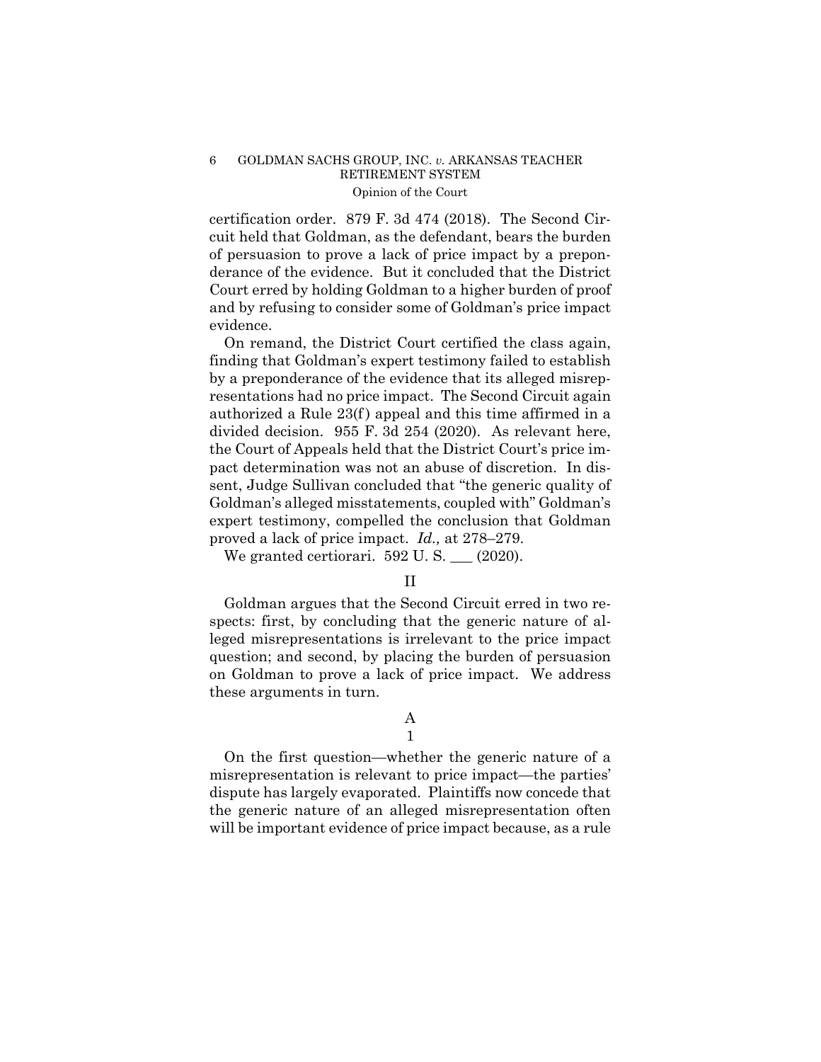certification order. 879 F. 3d 474 (2018). The Second Circuit held that Goldman, as the defendant, bears the burden of persuasion to prove a lack of price impact by a preponderance of the evidence. But it concluded that the District Court erred by holding Goldman to a higher burden of proof and by refusing to consider some of Goldman's price impact evidence.

On remand, the District Court certified the class again, finding that Goldman's expert testimony failed to establish by a preponderance of the evidence that its alleged misrepresentations had no price impact. The Second Circuit again authorized a Rule 23(f) appeal and this time affirmed in a divided decision. 955 F. 3d 254 (2020). As relevant here, the Court of Appeals held that the District Court's price impact determination was not an abuse of discretion. In dissent, Judge Sullivan concluded that "the generic quality of Goldman's alleged misstatements, coupled with" Goldman's expert testimony, compelled the conclusion that Goldman proved a lack of price impact. *Id.,* at 278–279.

We granted certiorari.  $592 \text{ U.S.}$  (2020).

II

Goldman argues that the Second Circuit erred in two respects: first, by concluding that the generic nature of alleged misrepresentations is irrelevant to the price impact question; and second, by placing the burden of persuasion on Goldman to prove a lack of price impact. We address these arguments in turn.

### A 1

On the first question—whether the generic nature of a misrepresentation is relevant to price impact—the parties' dispute has largely evaporated. Plaintiffs now concede that the generic nature of an alleged misrepresentation often will be important evidence of price impact because, as a rule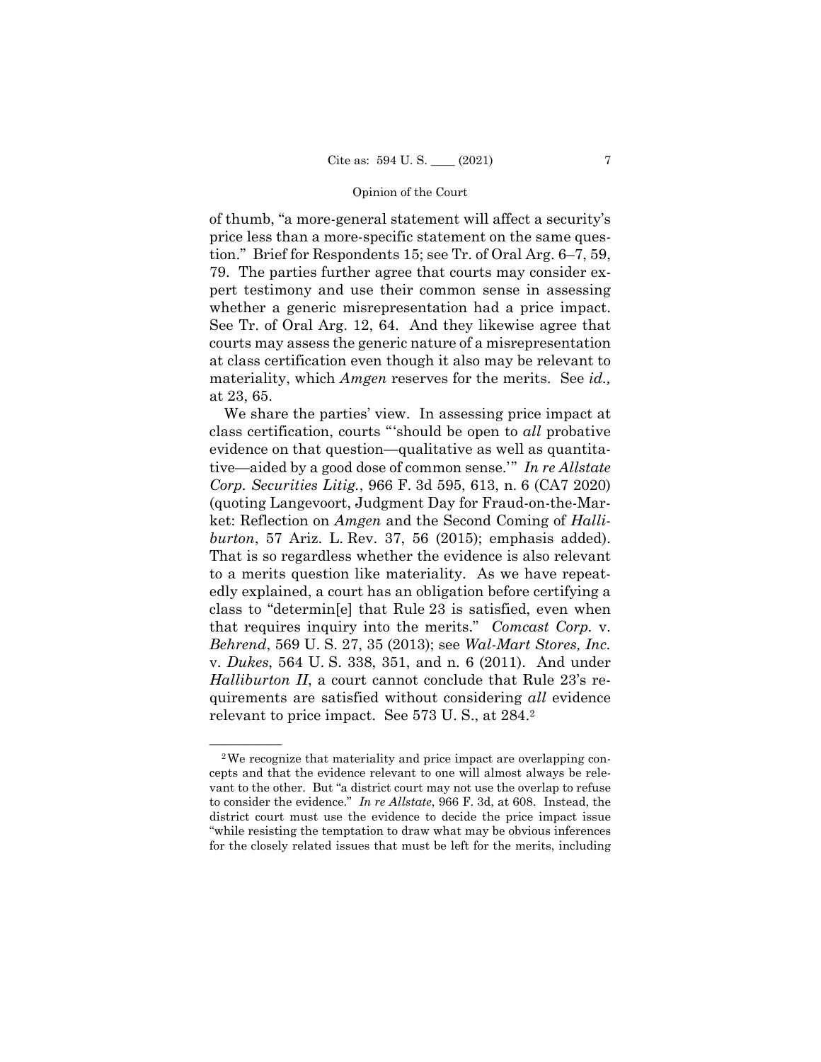of thumb, "a more-general statement will affect a security's price less than a more-specific statement on the same question." Brief for Respondents 15; see Tr. of Oral Arg. 6–7, 59, 79. The parties further agree that courts may consider expert testimony and use their common sense in assessing whether a generic misrepresentation had a price impact. See Tr. of Oral Arg. 12, 64. And they likewise agree that courts may assess the generic nature of a misrepresentation at class certification even though it also may be relevant to materiality, which *Amgen* reserves for the merits. See *id.,*  at 23, 65.

We share the parties' view. In assessing price impact at class certification, courts "'should be open to *all* probative evidence on that question—qualitative as well as quantitative—aided by a good dose of common sense.'" *In re Allstate Corp. Securities Litig.*, 966 F. 3d 595, 613, n. 6 (CA7 2020) (quoting Langevoort, Judgment Day for Fraud-on-the-Market: Reflection on *Amgen* and the Second Coming of *Halliburton*, 57 Ariz. L. Rev. 37, 56 (2015); emphasis added). That is so regardless whether the evidence is also relevant to a merits question like materiality. As we have repeatedly explained, a court has an obligation before certifying a class to "determin[e] that Rule 23 is satisfied, even when that requires inquiry into the merits." *Comcast Corp.* v. *Behrend*, 569 U. S. 27, 35 (2013); see *Wal-Mart Stores, Inc.*  v. *Dukes*, 564 U. S. 338, 351, and n. 6 (2011). And under *Halliburton II*, a court cannot conclude that Rule 23's requirements are satisfied without considering *all* evidence relevant to price impact. See 573 U. S., at 284.2

<sup>&</sup>lt;sup>2</sup>We recognize that materiality and price impact are overlapping concepts and that the evidence relevant to one will almost always be relevant to the other. But "a district court may not use the overlap to refuse to consider the evidence." *In re Allstate*, 966 F. 3d, at 608. Instead, the district court must use the evidence to decide the price impact issue "while resisting the temptation to draw what may be obvious inferences for the closely related issues that must be left for the merits, including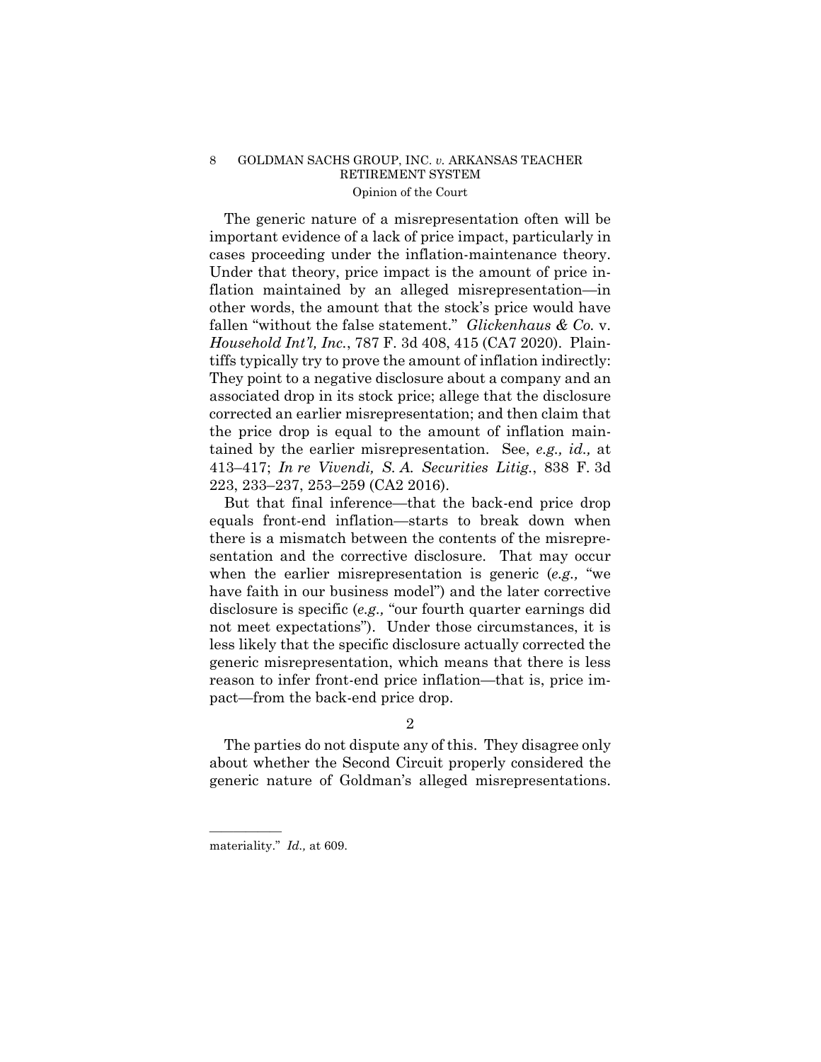The generic nature of a misrepresentation often will be important evidence of a lack of price impact, particularly in cases proceeding under the inflation-maintenance theory. Under that theory, price impact is the amount of price inflation maintained by an alleged misrepresentation—in other words, the amount that the stock's price would have fallen "without the false statement." *Glickenhaus & Co.* v. *Household Int'l, Inc.*, 787 F. 3d 408, 415 (CA7 2020). Plaintiffs typically try to prove the amount of inflation indirectly: They point to a negative disclosure about a company and an associated drop in its stock price; allege that the disclosure corrected an earlier misrepresentation; and then claim that the price drop is equal to the amount of inflation maintained by the earlier misrepresentation. See, *e.g., id.,* at 413–417; *In re Vivendi, S. A. Securities Litig.*, 838 F. 3d 223, 233–237, 253–259 (CA2 2016).

But that final inference—that the back-end price drop equals front-end inflation—starts to break down when there is a mismatch between the contents of the misrepresentation and the corrective disclosure. That may occur when the earlier misrepresentation is generic (*e.g.,* "we have faith in our business model") and the later corrective disclosure is specific (*e.g.,* "our fourth quarter earnings did not meet expectations"). Under those circumstances, it is less likely that the specific disclosure actually corrected the generic misrepresentation, which means that there is less reason to infer front-end price inflation—that is, price impact—from the back-end price drop.

## 2

The parties do not dispute any of this. They disagree only about whether the Second Circuit properly considered the generic nature of Goldman's alleged misrepresentations.

——————

materiality." *Id.,* at 609.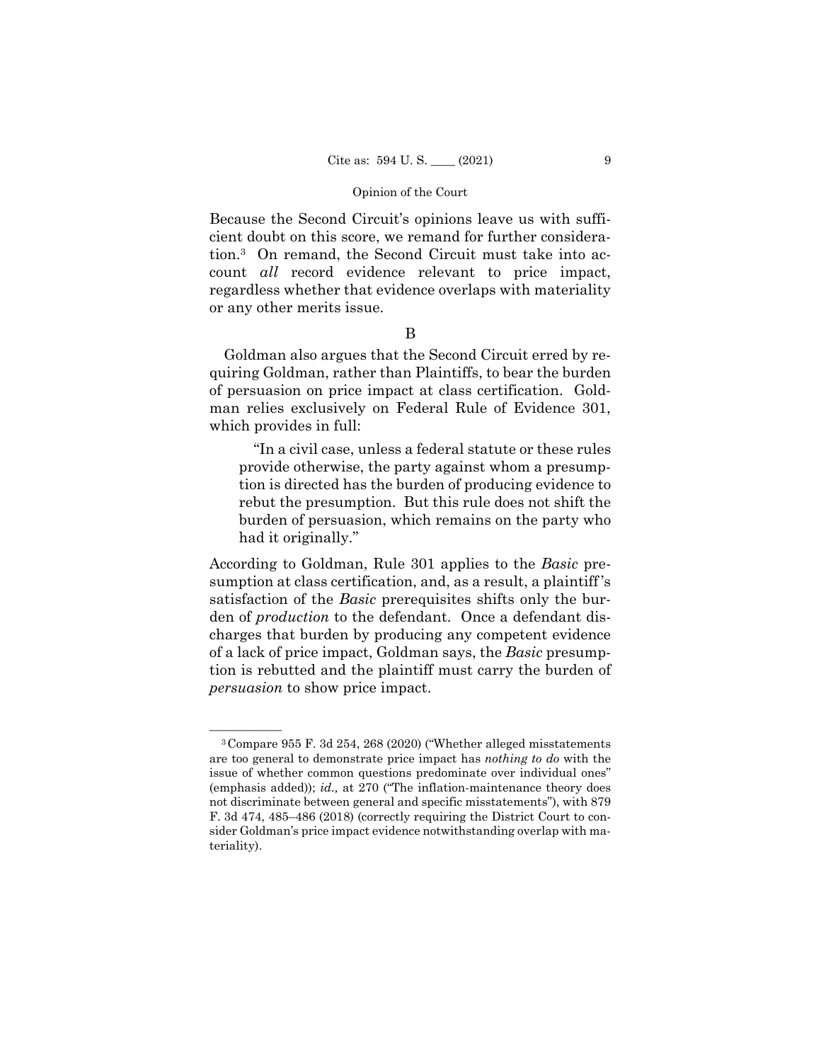Because the Second Circuit's opinions leave us with sufficient doubt on this score, we remand for further consideration.3 On remand, the Second Circuit must take into account *all* record evidence relevant to price impact, regardless whether that evidence overlaps with materiality or any other merits issue.

## B

Goldman also argues that the Second Circuit erred by requiring Goldman, rather than Plaintiffs, to bear the burden of persuasion on price impact at class certification. Goldman relies exclusively on Federal Rule of Evidence 301, which provides in full:

"In a civil case, unless a federal statute or these rules provide otherwise, the party against whom a presumption is directed has the burden of producing evidence to rebut the presumption. But this rule does not shift the burden of persuasion, which remains on the party who had it originally."

According to Goldman, Rule 301 applies to the *Basic* presumption at class certification, and, as a result, a plaintiff 's satisfaction of the *Basic* prerequisites shifts only the burden of *production* to the defendant. Once a defendant discharges that burden by producing any competent evidence of a lack of price impact, Goldman says, the *Basic* presumption is rebutted and the plaintiff must carry the burden of *persuasion* to show price impact.

 ${}^{3}$ Compare 955 F. 3d 254, 268 (2020) ("Whether alleged misstatements are too general to demonstrate price impact has *nothing to do* with the issue of whether common questions predominate over individual ones" (emphasis added)); *id.,* at 270 ("The inflation-maintenance theory does not discriminate between general and specific misstatements"), with 879 F. 3d 474, 485–486 (2018) (correctly requiring the District Court to consider Goldman's price impact evidence notwithstanding overlap with materiality).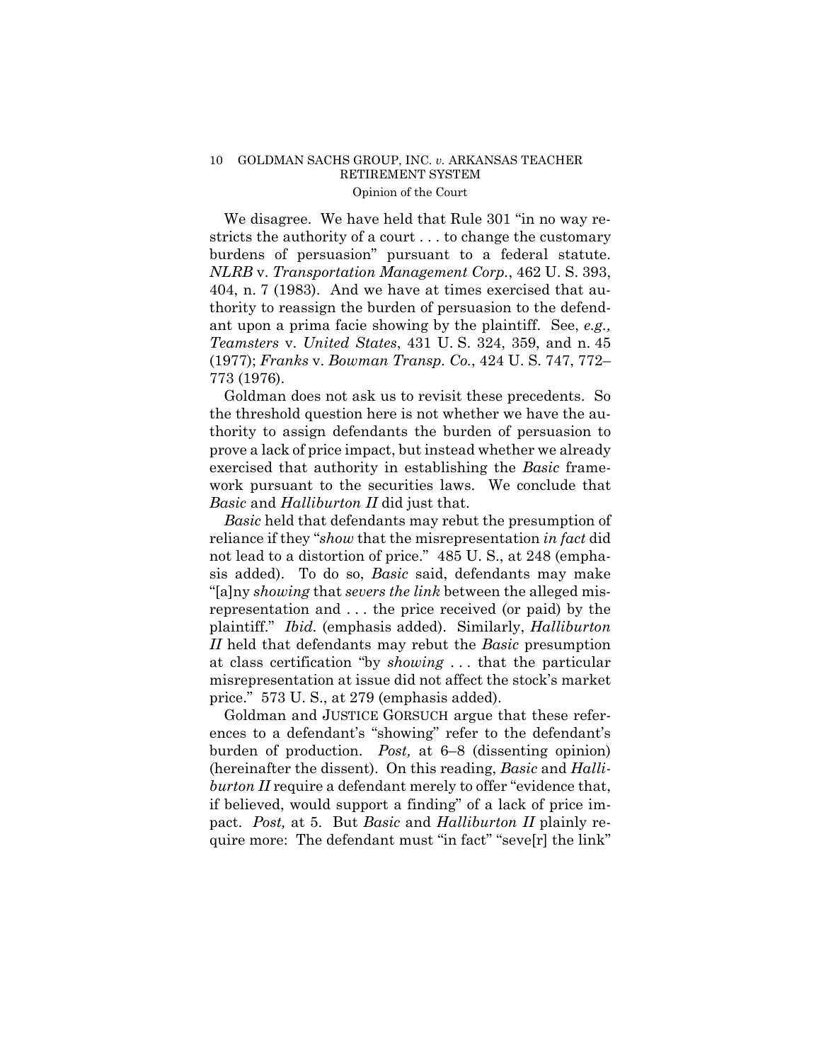We disagree. We have held that Rule 301 "in no way restricts the authority of a court . . . to change the customary burdens of persuasion" pursuant to a federal statute. *NLRB* v. *Transportation Management Corp.*, 462 U. S. 393, 404, n. 7 (1983). And we have at times exercised that authority to reassign the burden of persuasion to the defendant upon a prima facie showing by the plaintiff. See, *e.g., Teamsters* v. *United States*, 431 U. S. 324, 359, and n. 45 (1977); *Franks* v. *Bowman Transp. Co.*, 424 U. S. 747, 772– 773 (1976).

Goldman does not ask us to revisit these precedents. So the threshold question here is not whether we have the authority to assign defendants the burden of persuasion to prove a lack of price impact, but instead whether we already exercised that authority in establishing the *Basic* framework pursuant to the securities laws. We conclude that *Basic* and *Halliburton II* did just that.

*Basic* held that defendants may rebut the presumption of reliance if they "*show* that the misrepresentation *in fact* did not lead to a distortion of price." 485 U.S., at 248 (emphasis added). To do so, *Basic* said, defendants may make "[a]ny *showing* that *severs the link* between the alleged misrepresentation and . . . the price received (or paid) by the plaintiff." *Ibid.* (emphasis added). Similarly, *Halliburton II* held that defendants may rebut the *Basic* presumption at class certification "by *showing* . . . that the particular misrepresentation at issue did not affect the stock's market price." 573 U. S., at 279 (emphasis added).

 burden of production. *Post,* at 6–8 (dissenting opinion) Goldman and JUSTICE GORSUCH argue that these references to a defendant's "showing" refer to the defendant's (hereinafter the dissent). On this reading, *Basic* and *Halliburton II* require a defendant merely to offer "evidence that, if believed, would support a finding" of a lack of price impact. *Post,* at 5. But *Basic* and *Halliburton II* plainly require more: The defendant must "in fact" "seve[r] the link"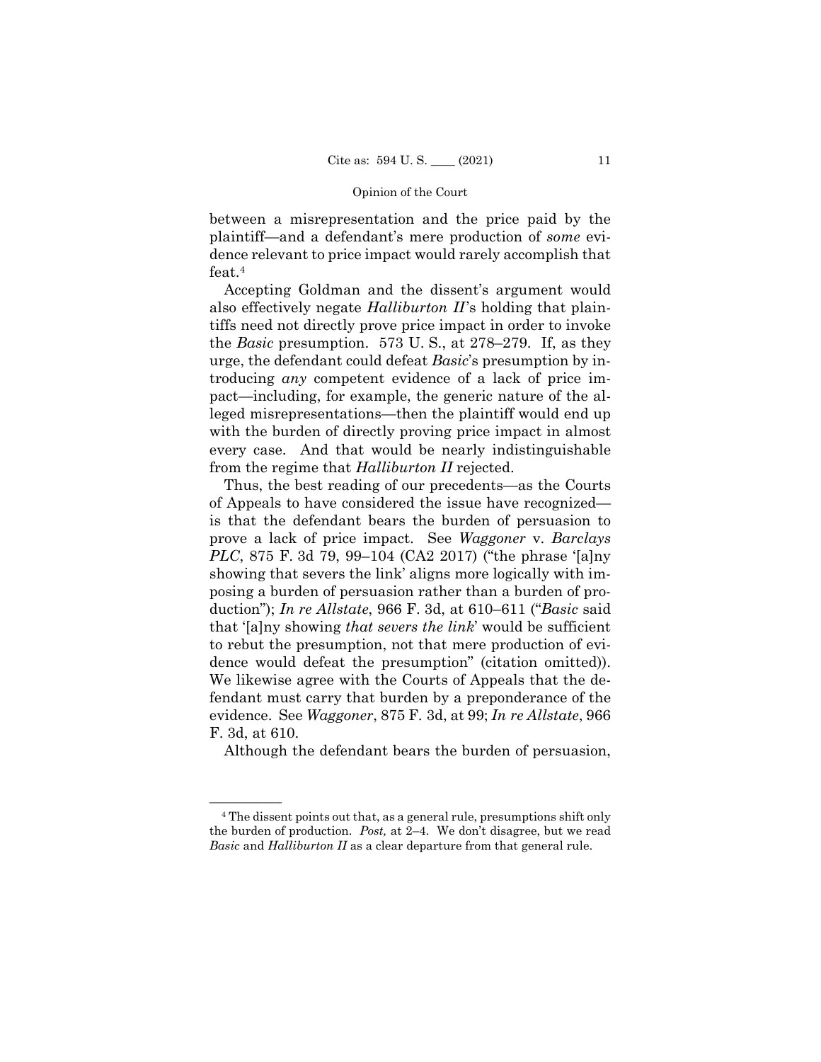between a misrepresentation and the price paid by the plaintiff—and a defendant's mere production of *some* evidence relevant to price impact would rarely accomplish that feat.4

Accepting Goldman and the dissent's argument would also effectively negate *Halliburton II*'s holding that plaintiffs need not directly prove price impact in order to invoke the *Basic* presumption. 573 U. S., at 278–279. If, as they urge, the defendant could defeat *Basic*'s presumption by introducing *any* competent evidence of a lack of price impact—including, for example, the generic nature of the alleged misrepresentations—then the plaintiff would end up with the burden of directly proving price impact in almost every case. And that would be nearly indistinguishable from the regime that *Halliburton II* rejected.

Thus, the best reading of our precedents—as the Courts of Appeals to have considered the issue have recognized is that the defendant bears the burden of persuasion to prove a lack of price impact. See *Waggoner* v. *Barclays PLC*, 875 F. 3d 79, 99–104 (CA2 2017) ("the phrase '[a]ny showing that severs the link' aligns more logically with imposing a burden of persuasion rather than a burden of production"); *In re Allstate*, 966 F. 3d, at 610–611 ("*Basic* said that '[a]ny showing *that severs the link*' would be sufficient to rebut the presumption, not that mere production of evidence would defeat the presumption" (citation omitted)). We likewise agree with the Courts of Appeals that the defendant must carry that burden by a preponderance of the evidence. See *Waggoner*, 875 F. 3d, at 99; *In re Allstate*, 966 F. 3d, at 610.

Although the defendant bears the burden of persuasion,

<sup>&</sup>lt;sup>4</sup> The dissent points out that, as a general rule, presumptions shift only the burden of production. *Post,* at 2–4. We don't disagree, but we read *Basic* and *Halliburton II* as a clear departure from that general rule.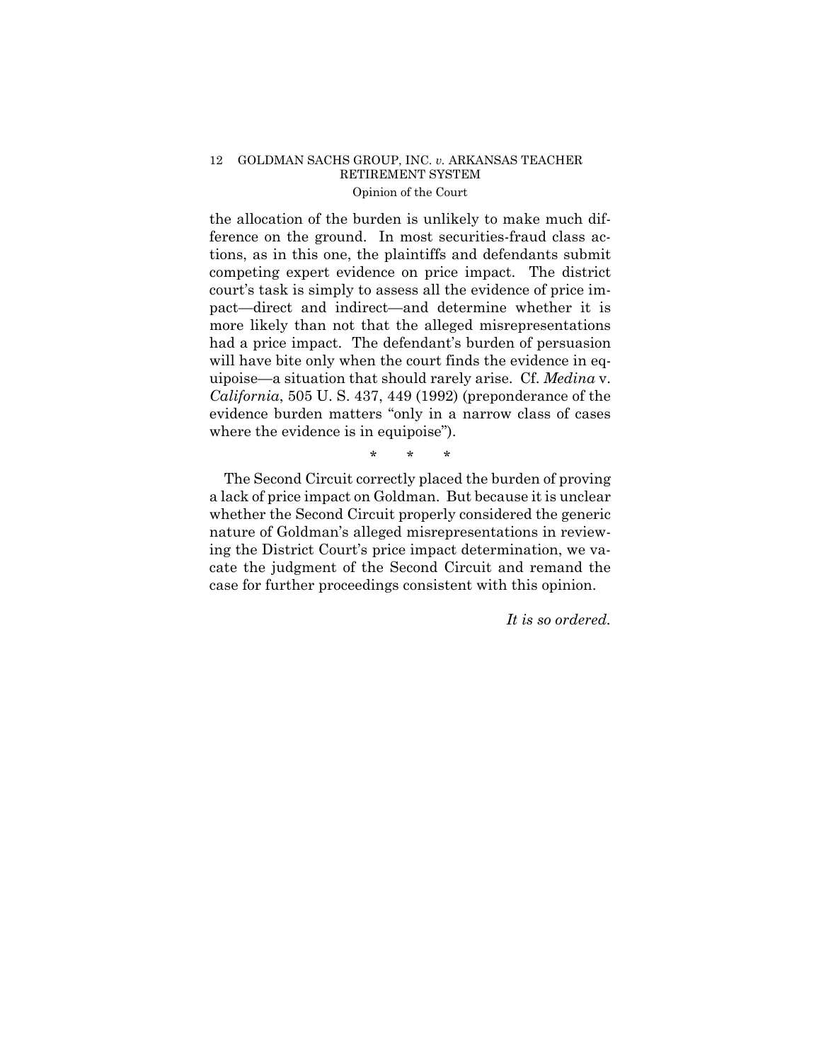the allocation of the burden is unlikely to make much difference on the ground. In most securities-fraud class actions, as in this one, the plaintiffs and defendants submit competing expert evidence on price impact. The district court's task is simply to assess all the evidence of price impact—direct and indirect—and determine whether it is more likely than not that the alleged misrepresentations had a price impact. The defendant's burden of persuasion will have bite only when the court finds the evidence in equipoise—a situation that should rarely arise. Cf. *Medina* v. *California*, 505 U. S. 437, 449 (1992) (preponderance of the evidence burden matters "only in a narrow class of cases where the evidence is in equipoise").

\* \* \*

The Second Circuit correctly placed the burden of proving a lack of price impact on Goldman. But because it is unclear whether the Second Circuit properly considered the generic nature of Goldman's alleged misrepresentations in reviewing the District Court's price impact determination, we vacate the judgment of the Second Circuit and remand the case for further proceedings consistent with this opinion.

*It is so ordered.*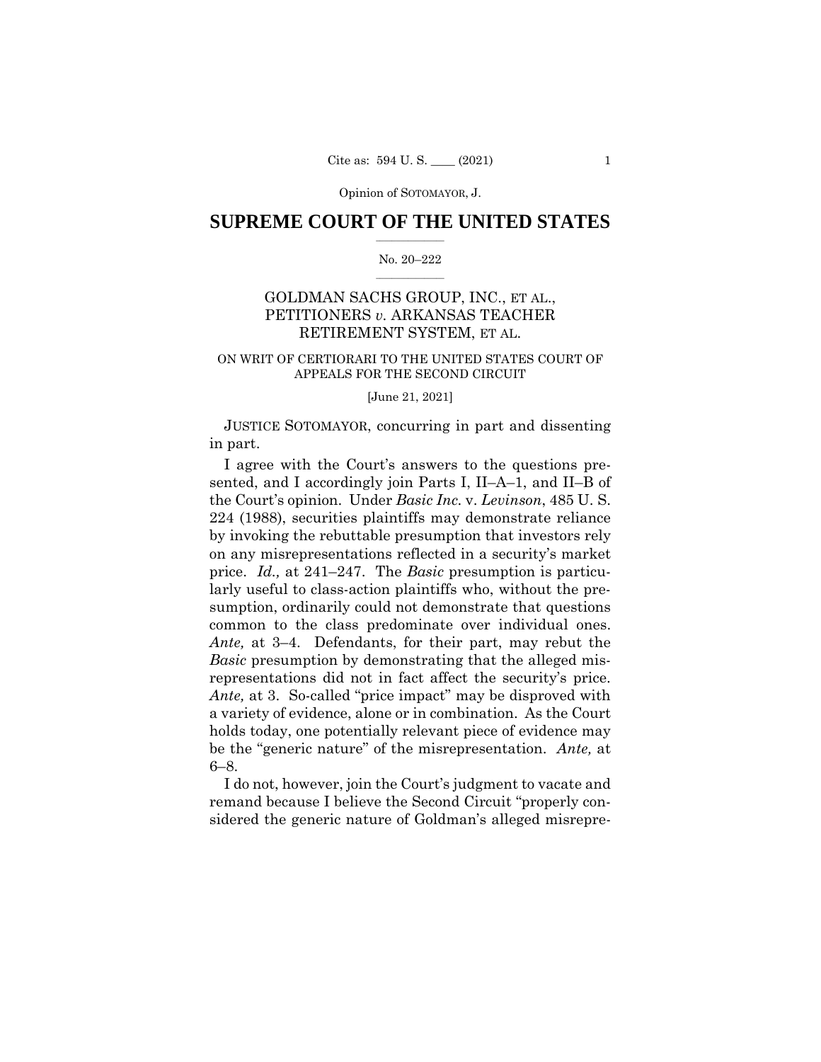Opinion of SOTOMAYOR, J.

## $\frac{1}{2}$  , where  $\frac{1}{2}$ **SUPREME COURT OF THE UNITED STATES**

#### $\frac{1}{2}$  ,  $\frac{1}{2}$  ,  $\frac{1}{2}$  ,  $\frac{1}{2}$  ,  $\frac{1}{2}$  ,  $\frac{1}{2}$ No. 20–222

# GOLDMAN SACHS GROUP, INC., ET AL., PETITIONERS *v.* ARKANSAS TEACHER RETIREMENT SYSTEM, ET AL.

## ON WRIT OF CERTIORARI TO THE UNITED STATES COURT OF APPEALS FOR THE SECOND CIRCUIT

[June 21, 2021]

JUSTICE SOTOMAYOR, concurring in part and dissenting in part.

 representations did not in fact affect the security's price. I agree with the Court's answers to the questions presented, and I accordingly join Parts I, II–A–1, and II–B of the Court's opinion. Under *Basic Inc.* v. *Levinson*, 485 U. S. 224 (1988), securities plaintiffs may demonstrate reliance by invoking the rebuttable presumption that investors rely on any misrepresentations reflected in a security's market price. *Id.,* at 241–247. The *Basic* presumption is particularly useful to class-action plaintiffs who, without the presumption, ordinarily could not demonstrate that questions common to the class predominate over individual ones. *Ante,* at 3–4. Defendants, for their part, may rebut the *Basic* presumption by demonstrating that the alleged mis-*Ante,* at 3. So-called "price impact" may be disproved with a variety of evidence, alone or in combination. As the Court holds today, one potentially relevant piece of evidence may be the "generic nature" of the misrepresentation. *Ante,* at 6–8.

I do not, however, join the Court's judgment to vacate and remand because I believe the Second Circuit "properly considered the generic nature of Goldman's alleged misrepre-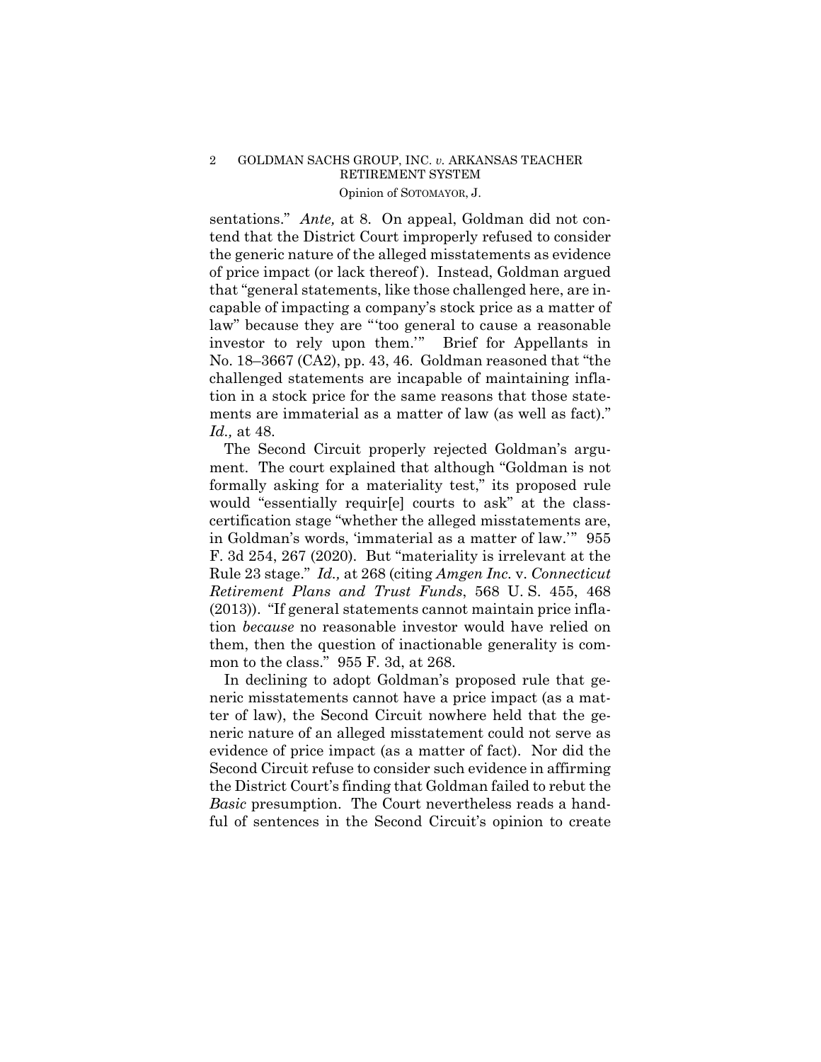# Opinion of SOTOMAYOR, J. 2 GOLDMAN SACHS GROUP, INC. *v.* ARKANSAS TEACHER RETIREMENT SYSTEM

sentations." *Ante,* at 8. On appeal, Goldman did not contend that the District Court improperly refused to consider the generic nature of the alleged misstatements as evidence of price impact (or lack thereof ). Instead, Goldman argued that "general statements, like those challenged here, are incapable of impacting a company's stock price as a matter of law" because they are "'too general to cause a reasonable investor to rely upon them.'" Brief for Appellants in No. 18–3667 (CA2), pp. 43, 46. Goldman reasoned that "the challenged statements are incapable of maintaining inflation in a stock price for the same reasons that those statements are immaterial as a matter of law (as well as fact)." *Id.,* at 48.

The Second Circuit properly rejected Goldman's argument. The court explained that although "Goldman is not formally asking for a materiality test," its proposed rule would "essentially requir[e] courts to ask" at the classcertification stage "whether the alleged misstatements are, in Goldman's words, 'immaterial as a matter of law.'" 955 F. 3d 254, 267 (2020). But "materiality is irrelevant at the Rule 23 stage." *Id.,* at 268 (citing *Amgen Inc.* v. *Connecticut Retirement Plans and Trust Funds*, 568 U. S. 455, 468 (2013)). "If general statements cannot maintain price inflation *because* no reasonable investor would have relied on them, then the question of inactionable generality is common to the class." 955 F. 3d, at 268.

In declining to adopt Goldman's proposed rule that generic misstatements cannot have a price impact (as a matter of law), the Second Circuit nowhere held that the generic nature of an alleged misstatement could not serve as evidence of price impact (as a matter of fact). Nor did the Second Circuit refuse to consider such evidence in affirming the District Court's finding that Goldman failed to rebut the *Basic* presumption. The Court nevertheless reads a handful of sentences in the Second Circuit's opinion to create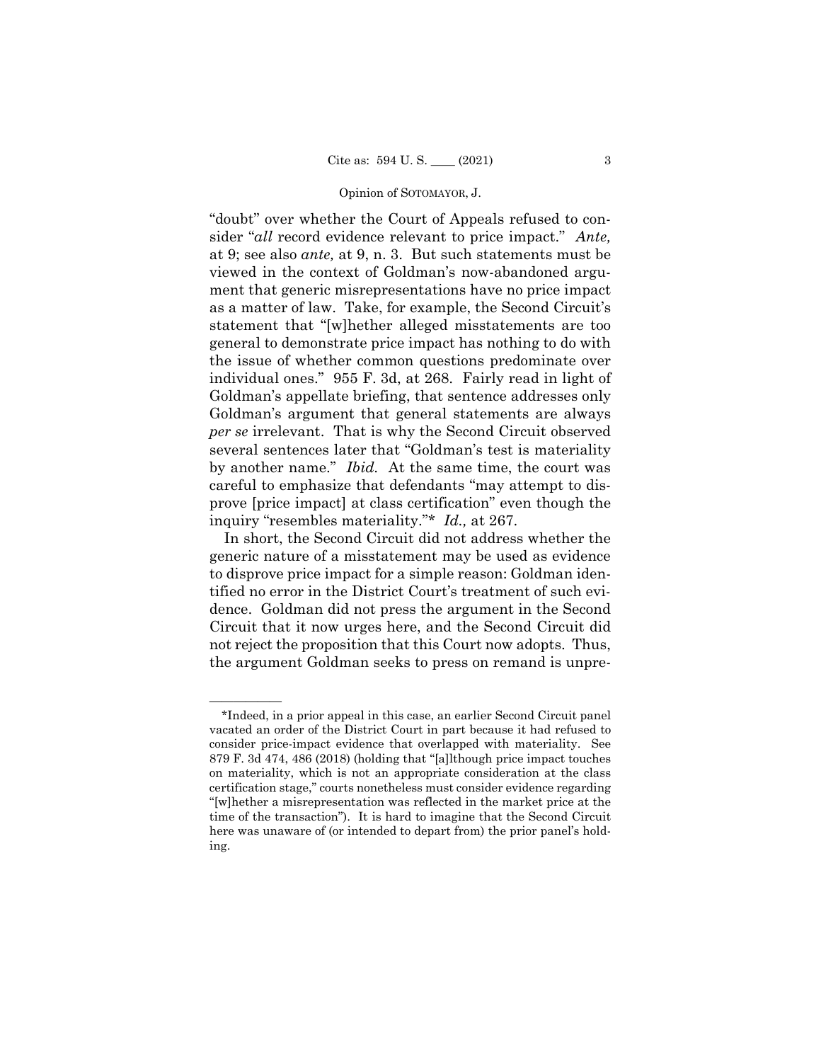#### Opinion of SOTOMAYOR, J.

"doubt" over whether the Court of Appeals refused to consider "*all* record evidence relevant to price impact." *Ante,*  at 9; see also *ante,* at 9, n. 3. But such statements must be viewed in the context of Goldman's now-abandoned argument that generic misrepresentations have no price impact as a matter of law. Take, for example, the Second Circuit's statement that "[w]hether alleged misstatements are too general to demonstrate price impact has nothing to do with the issue of whether common questions predominate over individual ones." 955 F. 3d, at 268. Fairly read in light of Goldman's appellate briefing, that sentence addresses only Goldman's argument that general statements are always *per se* irrelevant. That is why the Second Circuit observed several sentences later that "Goldman's test is materiality by another name." *Ibid.* At the same time, the court was careful to emphasize that defendants "may attempt to disprove [price impact] at class certification" even though the inquiry "resembles materiality."\* *Id.,* at 267.

In short, the Second Circuit did not address whether the generic nature of a misstatement may be used as evidence to disprove price impact for a simple reason: Goldman identified no error in the District Court's treatment of such evidence. Goldman did not press the argument in the Second Circuit that it now urges here, and the Second Circuit did not reject the proposition that this Court now adopts. Thus, the argument Goldman seeks to press on remand is unpre-

——————

<sup>\*</sup>Indeed, in a prior appeal in this case, an earlier Second Circuit panel vacated an order of the District Court in part because it had refused to consider price-impact evidence that overlapped with materiality. See 879 F. 3d 474, 486 (2018) (holding that "[a]lthough price impact touches on materiality, which is not an appropriate consideration at the class certification stage," courts nonetheless must consider evidence regarding "[w]hether a misrepresentation was reflected in the market price at the time of the transaction"). It is hard to imagine that the Second Circuit here was unaware of (or intended to depart from) the prior panel's holding.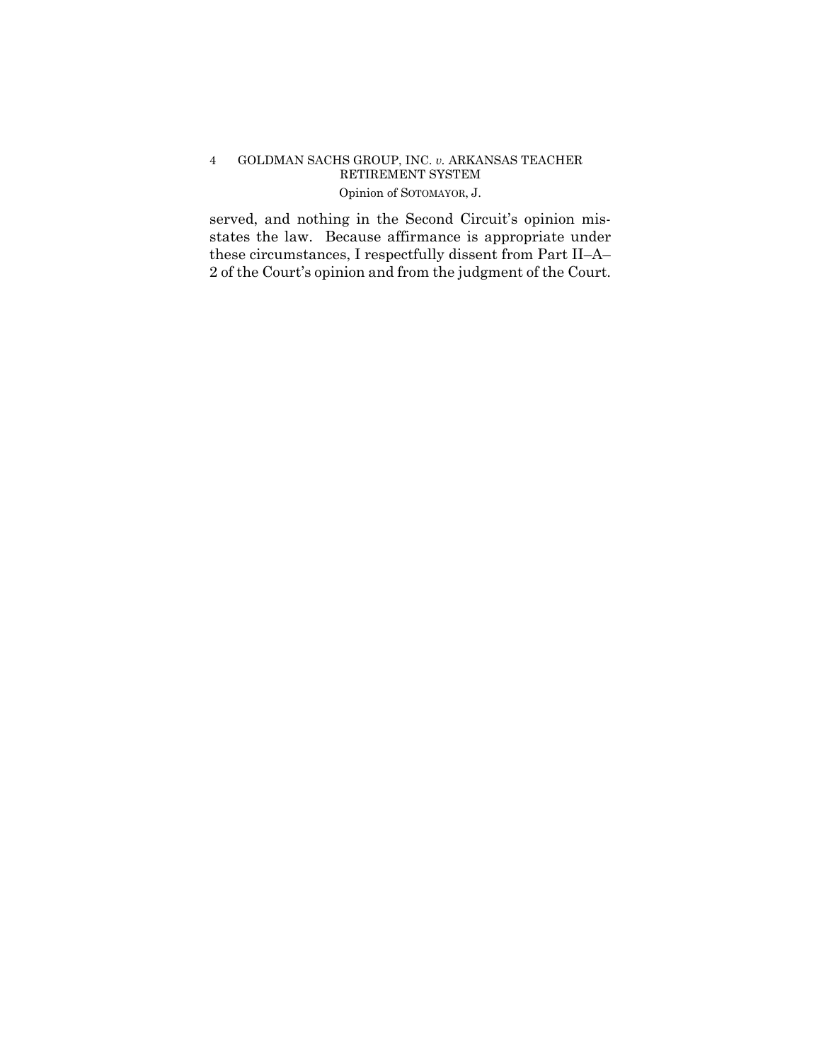# Opinion of SOTOMAYOR, J. 4 GOLDMAN SACHS GROUP, INC. *v.* ARKANSAS TEACHER RETIREMENT SYSTEM

served, and nothing in the Second Circuit's opinion misstates the law. Because affirmance is appropriate under these circumstances, I respectfully dissent from Part II–A– 2 of the Court's opinion and from the judgment of the Court.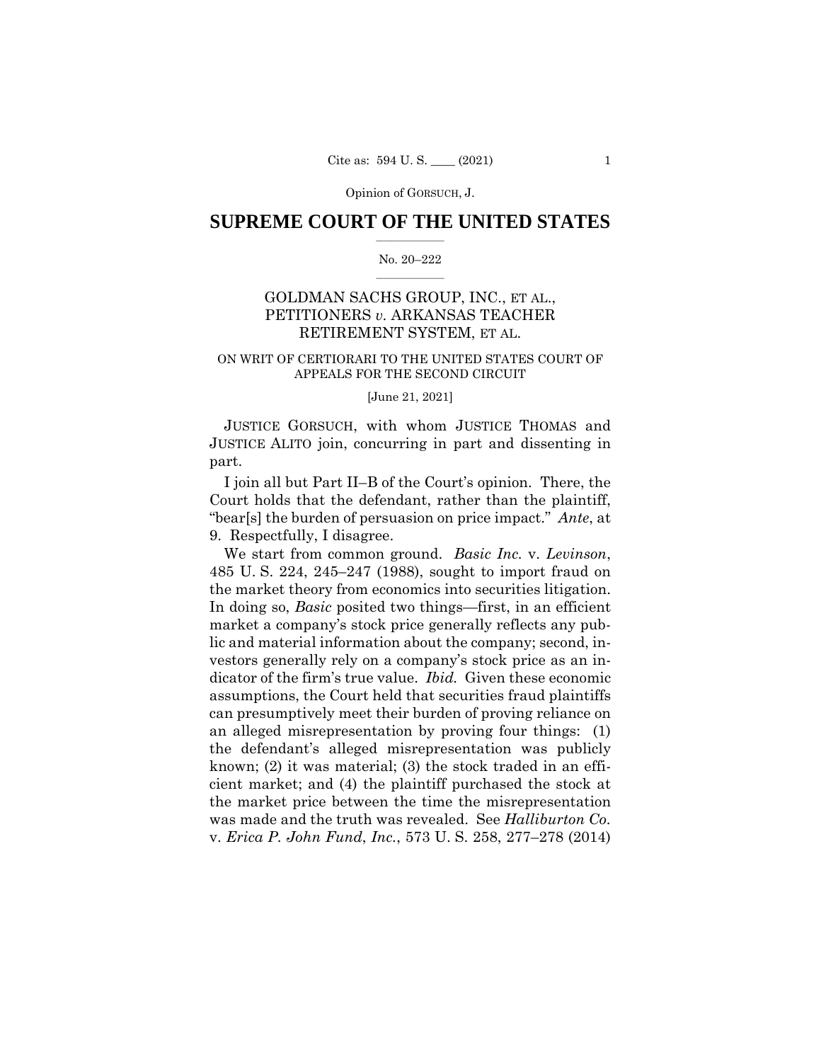Opinion of GORSUCH, J.

## $\frac{1}{2}$  ,  $\frac{1}{2}$  ,  $\frac{1}{2}$  ,  $\frac{1}{2}$  ,  $\frac{1}{2}$  ,  $\frac{1}{2}$  ,  $\frac{1}{2}$ **SUPREME COURT OF THE UNITED STATES**

#### $\frac{1}{2}$  ,  $\frac{1}{2}$  ,  $\frac{1}{2}$  ,  $\frac{1}{2}$  ,  $\frac{1}{2}$  ,  $\frac{1}{2}$ No. 20–222

# GOLDMAN SACHS GROUP, INC., ET AL., PETITIONERS *v.* ARKANSAS TEACHER RETIREMENT SYSTEM, ET AL.

### ON WRIT OF CERTIORARI TO THE UNITED STATES COURT OF APPEALS FOR THE SECOND CIRCUIT

### [June 21, 2021]

JUSTICE GORSUCH, with whom JUSTICE THOMAS and JUSTICE ALITO join, concurring in part and dissenting in part.

I join all but Part II–B of the Court's opinion. There, the Court holds that the defendant, rather than the plaintiff, "bear[s] the burden of persuasion on price impact." *Ante*, at 9. Respectfully, I disagree.

 the market theory from economics into securities litigation. We start from common ground. *Basic Inc.* v. *Levinson*, 485 U. S. 224, 245–247 (1988), sought to import fraud on In doing so, *Basic* posited two things—first, in an efficient market a company's stock price generally reflects any public and material information about the company; second, investors generally rely on a company's stock price as an indicator of the firm's true value. *Ibid.* Given these economic assumptions, the Court held that securities fraud plaintiffs can presumptively meet their burden of proving reliance on an alleged misrepresentation by proving four things: (1) the defendant's alleged misrepresentation was publicly known; (2) it was material; (3) the stock traded in an efficient market; and (4) the plaintiff purchased the stock at the market price between the time the misrepresentation was made and the truth was revealed. See *Halliburton Co.*  v. *Erica P. John Fund*, *Inc.*, 573 U. S. 258, 277–278 (2014)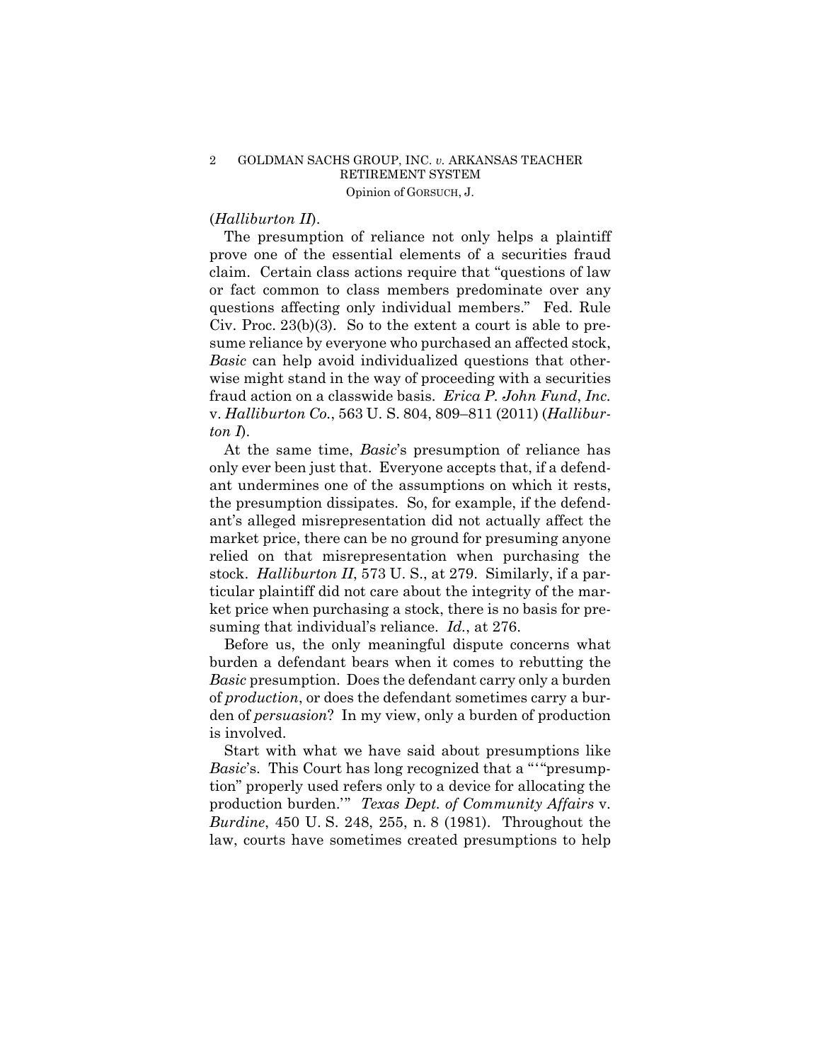## 2 GOLDMAN SACHS GROUP, INC. *v.* ARKANSAS TEACHER RETIREMENT SYSTEM Opinion of GORSUCH, J.

# (*Halliburton II*).

The presumption of reliance not only helps a plaintiff prove one of the essential elements of a securities fraud claim. Certain class actions require that "questions of law or fact common to class members predominate over any questions affecting only individual members." Fed. Rule Civ. Proc. 23(b)(3). So to the extent a court is able to presume reliance by everyone who purchased an affected stock, *Basic* can help avoid individualized questions that otherwise might stand in the way of proceeding with a securities fraud action on a classwide basis. *Erica P. John Fund*, *Inc.*  v. *Halliburton Co.*, 563 U. S. 804, 809–811 (2011) (*Halliburton I*).

At the same time, *Basic*'s presumption of reliance has only ever been just that. Everyone accepts that, if a defendant undermines one of the assumptions on which it rests, the presumption dissipates. So, for example, if the defendant's alleged misrepresentation did not actually affect the market price, there can be no ground for presuming anyone relied on that misrepresentation when purchasing the stock. *Halliburton II*, 573 U. S., at 279. Similarly, if a particular plaintiff did not care about the integrity of the market price when purchasing a stock, there is no basis for presuming that individual's reliance. *Id.*, at 276.

Before us, the only meaningful dispute concerns what burden a defendant bears when it comes to rebutting the *Basic* presumption. Does the defendant carry only a burden of *production*, or does the defendant sometimes carry a burden of *persuasion*? In my view, only a burden of production is involved.

 *Basic*'s. This Court has long recognized that a "'"presump-Start with what we have said about presumptions like tion" properly used refers only to a device for allocating the production burden.'" *Texas Dept. of Community Affairs* v. *Burdine*, 450 U. S. 248, 255, n. 8 (1981). Throughout the law, courts have sometimes created presumptions to help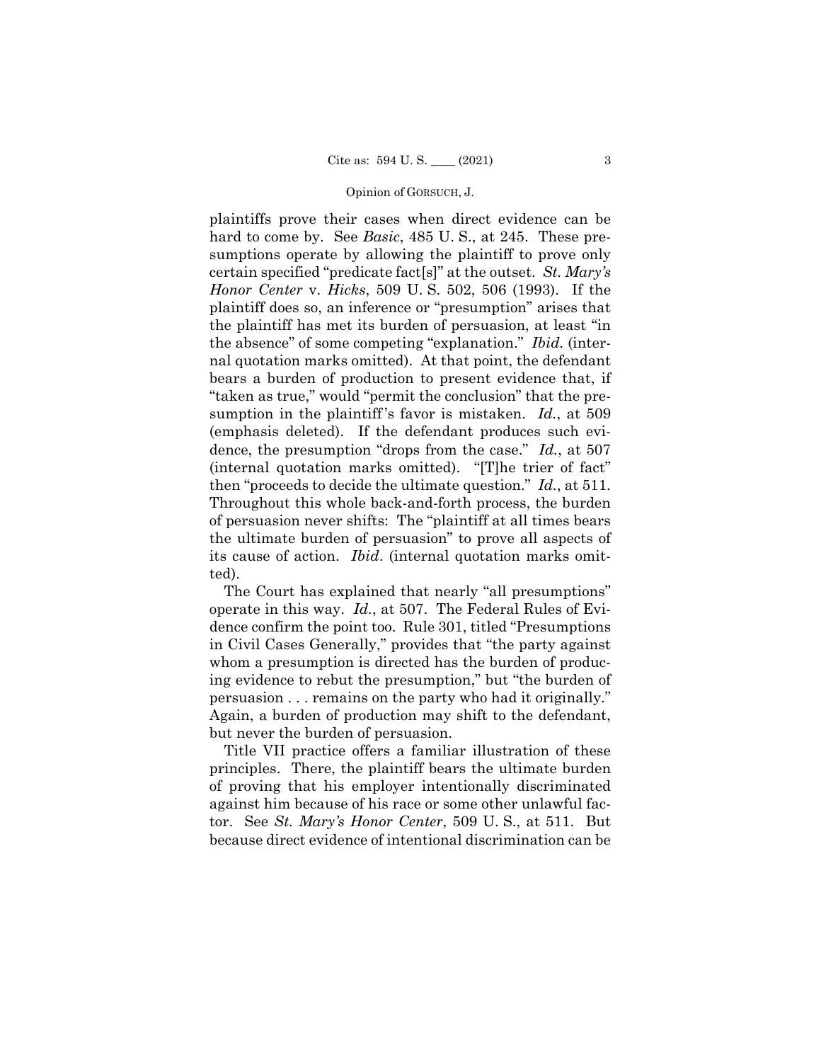#### Opinion of GORSUCH, J.

 dence, the presumption "drops from the case." *Id.*, at 507 then "proceeds to decide the ultimate question." *Id.*, at 511. Throughout this whole back-and-forth process, the burden plaintiffs prove their cases when direct evidence can be hard to come by. See *Basic*, 485 U. S., at 245. These presumptions operate by allowing the plaintiff to prove only certain specified "predicate fact[s]" at the outset. *St. Mary's Honor Center* v. *Hicks*, 509 U. S. 502, 506 (1993). If the plaintiff does so, an inference or "presumption" arises that the plaintiff has met its burden of persuasion, at least "in the absence" of some competing "explanation." *Ibid.* (internal quotation marks omitted). At that point, the defendant bears a burden of production to present evidence that, if "taken as true," would "permit the conclusion" that the presumption in the plaintiff 's favor is mistaken. *Id.*, at 509 (emphasis deleted). If the defendant produces such evi-(internal quotation marks omitted). "[T]he trier of fact" of persuasion never shifts: The "plaintiff at all times bears the ultimate burden of persuasion" to prove all aspects of its cause of action. *Ibid*. (internal quotation marks omitted).

The Court has explained that nearly "all presumptions" operate in this way. *Id.*, at 507. The Federal Rules of Evidence confirm the point too. Rule 301, titled "Presumptions in Civil Cases Generally," provides that "the party against whom a presumption is directed has the burden of producing evidence to rebut the presumption," but "the burden of persuasion . . . remains on the party who had it originally." Again, a burden of production may shift to the defendant, but never the burden of persuasion.

Title VII practice offers a familiar illustration of these principles. There, the plaintiff bears the ultimate burden of proving that his employer intentionally discriminated against him because of his race or some other unlawful factor. See *St. Mary's Honor Center*, 509 U. S., at 511. But because direct evidence of intentional discrimination can be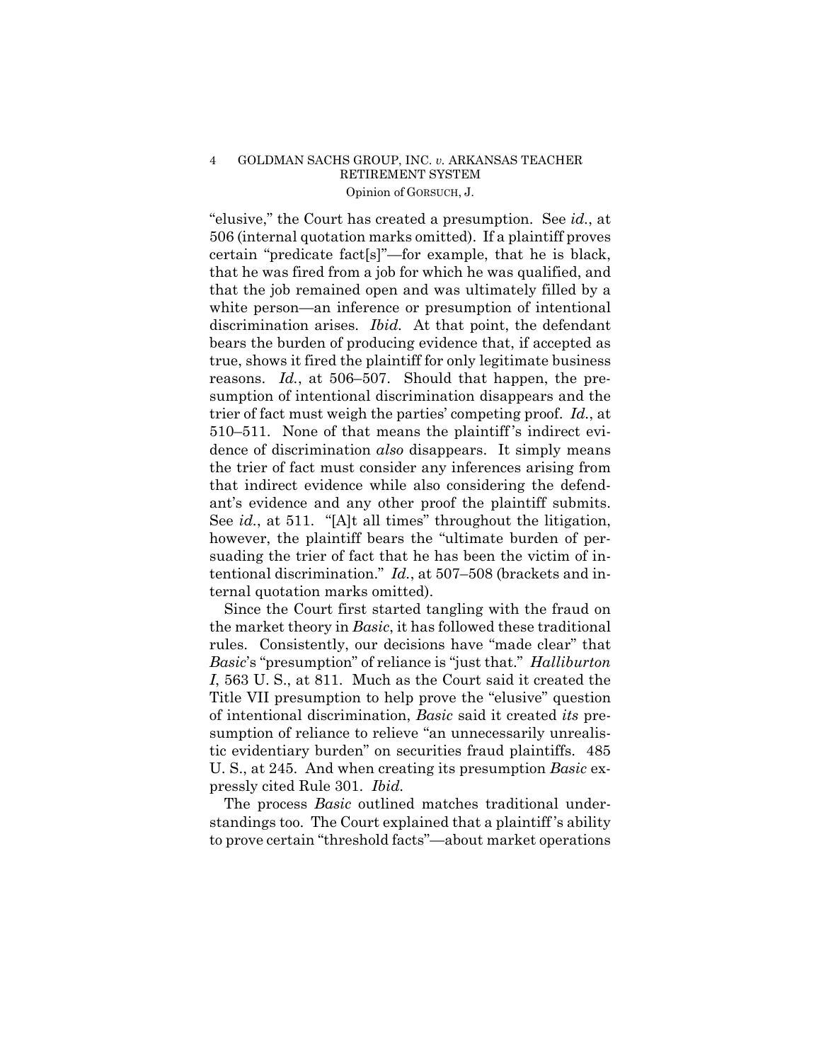## 4 GOLDMAN SACHS GROUP, INC. *v.* ARKANSAS TEACHER RETIREMENT SYSTEM Opinion of GORSUCH, J.

 ant's evidence and any other proof the plaintiff submits. "elusive," the Court has created a presumption. See *id.*, at 506 (internal quotation marks omitted). If a plaintiff proves certain "predicate fact[s]"—for example, that he is black, that he was fired from a job for which he was qualified, and that the job remained open and was ultimately filled by a white person—an inference or presumption of intentional discrimination arises. *Ibid.* At that point, the defendant bears the burden of producing evidence that, if accepted as true, shows it fired the plaintiff for only legitimate business reasons. *Id.*, at 506–507. Should that happen, the presumption of intentional discrimination disappears and the trier of fact must weigh the parties' competing proof. *Id.*, at 510–511. None of that means the plaintiff 's indirect evidence of discrimination *also* disappears. It simply means the trier of fact must consider any inferences arising from that indirect evidence while also considering the defend-See *id.*, at 511. "[A]t all times" throughout the litigation, however, the plaintiff bears the "ultimate burden of persuading the trier of fact that he has been the victim of intentional discrimination." *Id.*, at 507–508 (brackets and internal quotation marks omitted).

Since the Court first started tangling with the fraud on the market theory in *Basic*, it has followed these traditional rules. Consistently, our decisions have "made clear" that *Basic*'s "presumption" of reliance is "just that." *Halliburton I*, 563 U. S., at 811. Much as the Court said it created the Title VII presumption to help prove the "elusive" question of intentional discrimination, *Basic* said it created *its* presumption of reliance to relieve "an unnecessarily unrealistic evidentiary burden" on securities fraud plaintiffs. 485 U. S., at 245. And when creating its presumption *Basic* expressly cited Rule 301. *Ibid.*

 The process *Basic* outlined matches traditional understandings too. The Court explained that a plaintiff 's ability to prove certain "threshold facts"—about market operations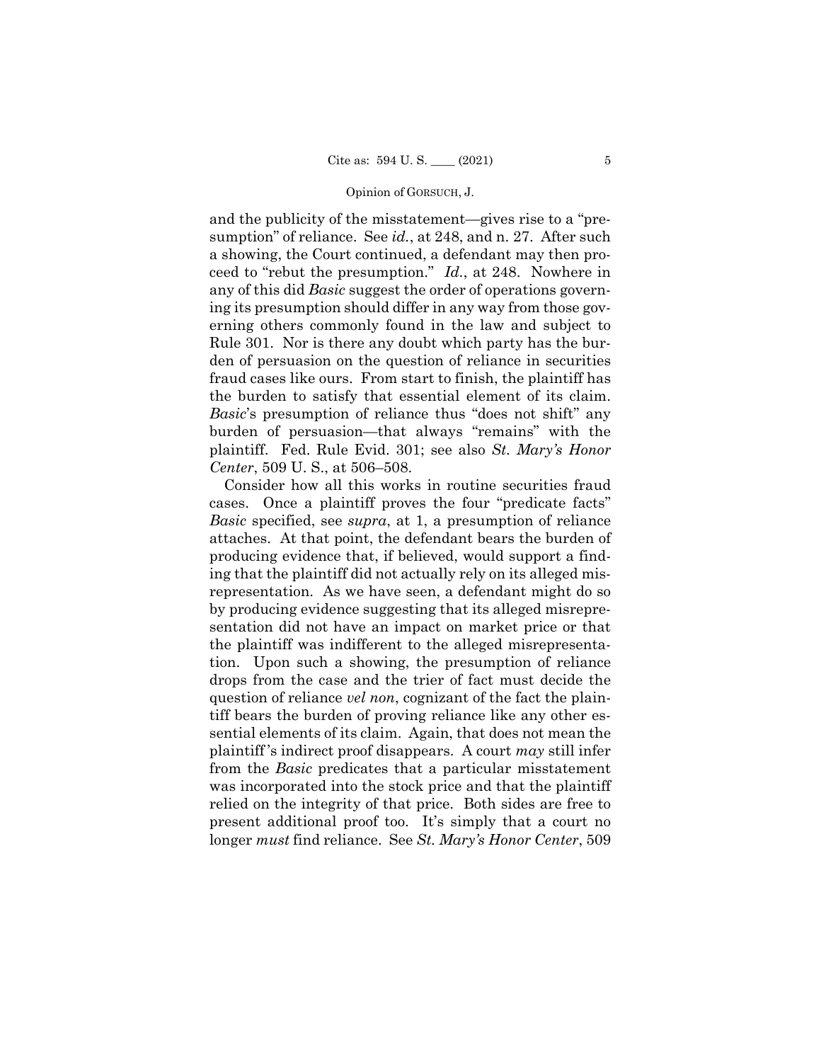#### Opinion of GORSUCH, J.

and the publicity of the misstatement—gives rise to a "presumption" of reliance. See *id.*, at 248, and n. 27. After such a showing, the Court continued, a defendant may then proceed to "rebut the presumption." *Id.*, at 248. Nowhere in any of this did *Basic* suggest the order of operations governing its presumption should differ in any way from those governing others commonly found in the law and subject to Rule 301. Nor is there any doubt which party has the burden of persuasion on the question of reliance in securities fraud cases like ours. From start to finish, the plaintiff has the burden to satisfy that essential element of its claim. *Basic*'s presumption of reliance thus "does not shift" any burden of persuasion—that always "remains" with the plaintiff. Fed. Rule Evid. 301; see also *St. Mary's Honor Center*, 509 U. S., at 506–508.

Consider how all this works in routine securities fraud cases. Once a plaintiff proves the four "predicate facts" *Basic* specified, see *supra*, at 1, a presumption of reliance attaches. At that point, the defendant bears the burden of producing evidence that, if believed, would support a finding that the plaintiff did not actually rely on its alleged misrepresentation. As we have seen, a defendant might do so by producing evidence suggesting that its alleged misrepresentation did not have an impact on market price or that the plaintiff was indifferent to the alleged misrepresentation. Upon such a showing, the presumption of reliance drops from the case and the trier of fact must decide the question of reliance *vel non*, cognizant of the fact the plaintiff bears the burden of proving reliance like any other essential elements of its claim. Again, that does not mean the plaintiff 's indirect proof disappears. A court *may* still infer from the *Basic* predicates that a particular misstatement was incorporated into the stock price and that the plaintiff relied on the integrity of that price. Both sides are free to present additional proof too. It's simply that a court no longer *must* find reliance. See *St. Mary's Honor Center*, 509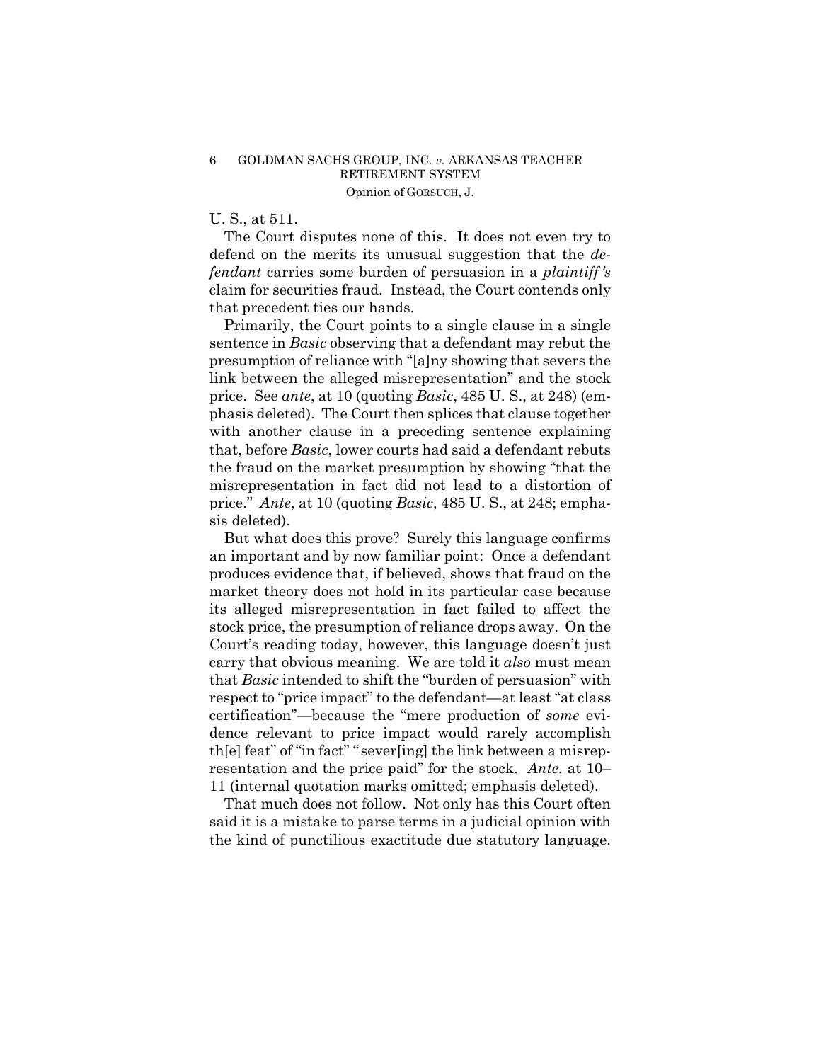## 6 GOLDMAN SACHS GROUP, INC. *v.* ARKANSAS TEACHER RETIREMENT SYSTEM Opinion of GORSUCH, J.

# U. S., at 511.

The Court disputes none of this. It does not even try to defend on the merits its unusual suggestion that the *defendant* carries some burden of persuasion in a *plaintiff 's*  claim for securities fraud. Instead, the Court contends only that precedent ties our hands.

Primarily, the Court points to a single clause in a single sentence in *Basic* observing that a defendant may rebut the presumption of reliance with "[a]ny showing that severs the link between the alleged misrepresentation" and the stock price. See *ante*, at 10 (quoting *Basic*, 485 U. S., at 248) (emphasis deleted). The Court then splices that clause together with another clause in a preceding sentence explaining that, before *Basic*, lower courts had said a defendant rebuts the fraud on the market presumption by showing "that the misrepresentation in fact did not lead to a distortion of price." *Ante*, at 10 (quoting *Basic*, 485 U. S., at 248; emphasis deleted).

But what does this prove? Surely this language confirms an important and by now familiar point: Once a defendant produces evidence that, if believed, shows that fraud on the market theory does not hold in its particular case because its alleged misrepresentation in fact failed to affect the stock price, the presumption of reliance drops away. On the Court's reading today, however, this language doesn't just carry that obvious meaning. We are told it *also* must mean that *Basic* intended to shift the "burden of persuasion" with respect to "price impact" to the defendant—at least "at class certification"—because the "mere production of *some* evidence relevant to price impact would rarely accomplish th[e] feat" of "in fact" " sever[ing] the link between a misrepresentation and the price paid" for the stock. *Ante*, at 10– 11 (internal quotation marks omitted; emphasis deleted).

That much does not follow. Not only has this Court often said it is a mistake to parse terms in a judicial opinion with the kind of punctilious exactitude due statutory language.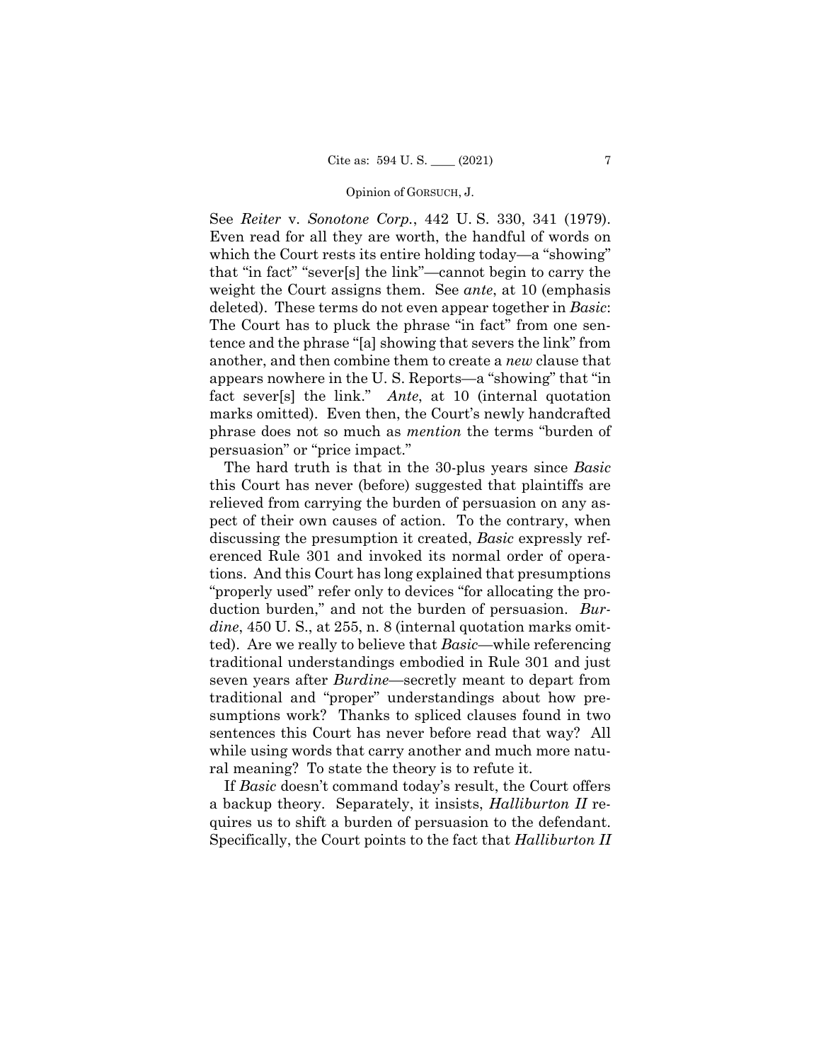#### Opinion of GORSUCH, J.

See *Reiter* v. *Sonotone Corp.*, 442 U. S. 330, 341 (1979). Even read for all they are worth, the handful of words on which the Court rests its entire holding today—a "showing" that "in fact" "sever[s] the link"—cannot begin to carry the weight the Court assigns them. See *ante*, at 10 (emphasis deleted). These terms do not even appear together in *Basic*: The Court has to pluck the phrase "in fact" from one sentence and the phrase "[a] showing that severs the link" from another, and then combine them to create a *new* clause that appears nowhere in the U. S. Reports—a "showing" that "in fact sever[s] the link." *Ante*, at 10 (internal quotation marks omitted). Even then, the Court's newly handcrafted phrase does not so much as *mention* the terms "burden of persuasion" or "price impact."

The hard truth is that in the 30-plus years since *Basic*  this Court has never (before) suggested that plaintiffs are relieved from carrying the burden of persuasion on any aspect of their own causes of action. To the contrary, when discussing the presumption it created, *Basic* expressly referenced Rule 301 and invoked its normal order of operations. And this Court has long explained that presumptions "properly used" refer only to devices "for allocating the production burden," and not the burden of persuasion. *Burdine*, 450 U. S., at 255, n. 8 (internal quotation marks omitted). Are we really to believe that *Basic*—while referencing traditional understandings embodied in Rule 301 and just seven years after *Burdine*—secretly meant to depart from traditional and "proper" understandings about how presumptions work? Thanks to spliced clauses found in two sentences this Court has never before read that way? All while using words that carry another and much more natural meaning? To state the theory is to refute it.

If *Basic* doesn't command today's result, the Court offers a backup theory. Separately, it insists, *Halliburton II* requires us to shift a burden of persuasion to the defendant. Specifically, the Court points to the fact that *Halliburton II*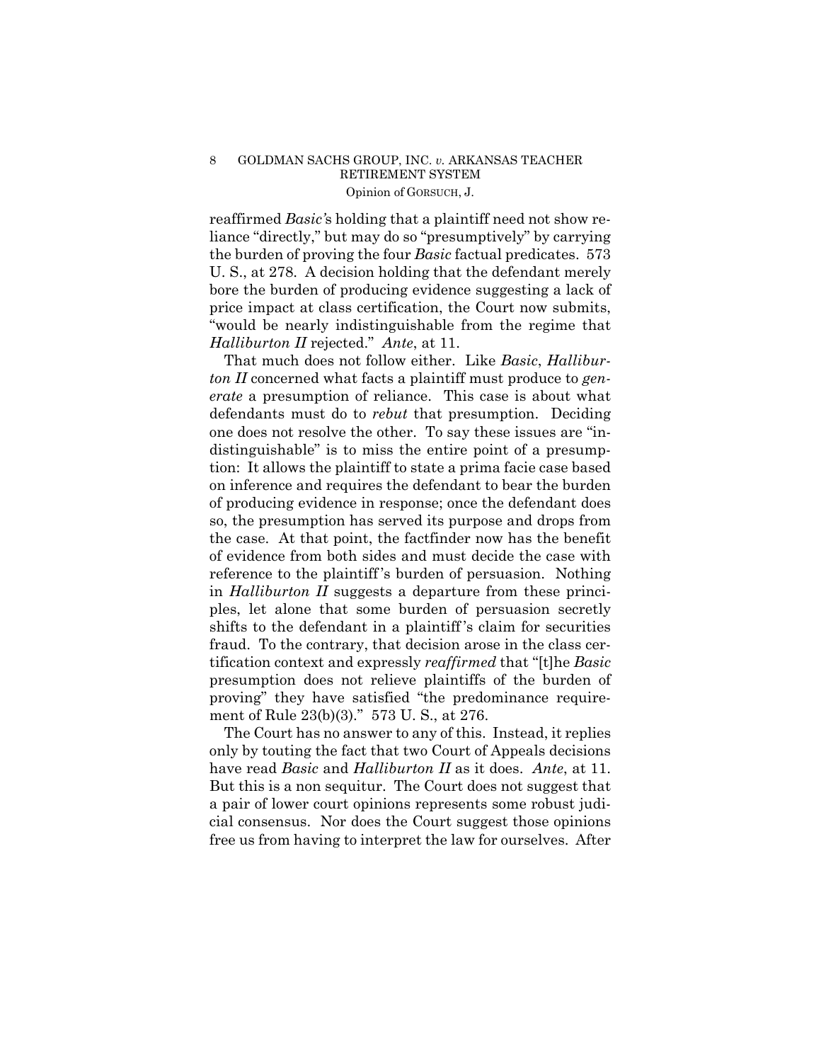## 8 GOLDMAN SACHS GROUP, INC. *v.* ARKANSAS TEACHER RETIREMENT SYSTEM Opinion of GORSUCH, J.

reaffirmed *Basic'*s holding that a plaintiff need not show reliance "directly," but may do so "presumptively" by carrying the burden of proving the four *Basic* factual predicates. 573 U. S., at 278. A decision holding that the defendant merely bore the burden of producing evidence suggesting a lack of price impact at class certification, the Court now submits, "would be nearly indistinguishable from the regime that *Halliburton II* rejected." *Ante*, at 11.

That much does not follow either. Like *Basic*, *Halliburton II* concerned what facts a plaintiff must produce to *generate* a presumption of reliance. This case is about what defendants must do to *rebut* that presumption. Deciding one does not resolve the other. To say these issues are "indistinguishable" is to miss the entire point of a presumption: It allows the plaintiff to state a prima facie case based on inference and requires the defendant to bear the burden of producing evidence in response; once the defendant does so, the presumption has served its purpose and drops from the case. At that point, the factfinder now has the benefit of evidence from both sides and must decide the case with reference to the plaintiff 's burden of persuasion. Nothing in *Halliburton II* suggests a departure from these principles, let alone that some burden of persuasion secretly shifts to the defendant in a plaintiff 's claim for securities fraud. To the contrary, that decision arose in the class certification context and expressly *reaffirmed* that "[t]he *Basic*  presumption does not relieve plaintiffs of the burden of proving" they have satisfied "the predominance requirement of Rule 23(b)(3)." 573 U. S., at 276.

The Court has no answer to any of this. Instead, it replies only by touting the fact that two Court of Appeals decisions have read *Basic* and *Halliburton II* as it does. *Ante*, at 11. But this is a non sequitur. The Court does not suggest that a pair of lower court opinions represents some robust judicial consensus. Nor does the Court suggest those opinions free us from having to interpret the law for ourselves. After